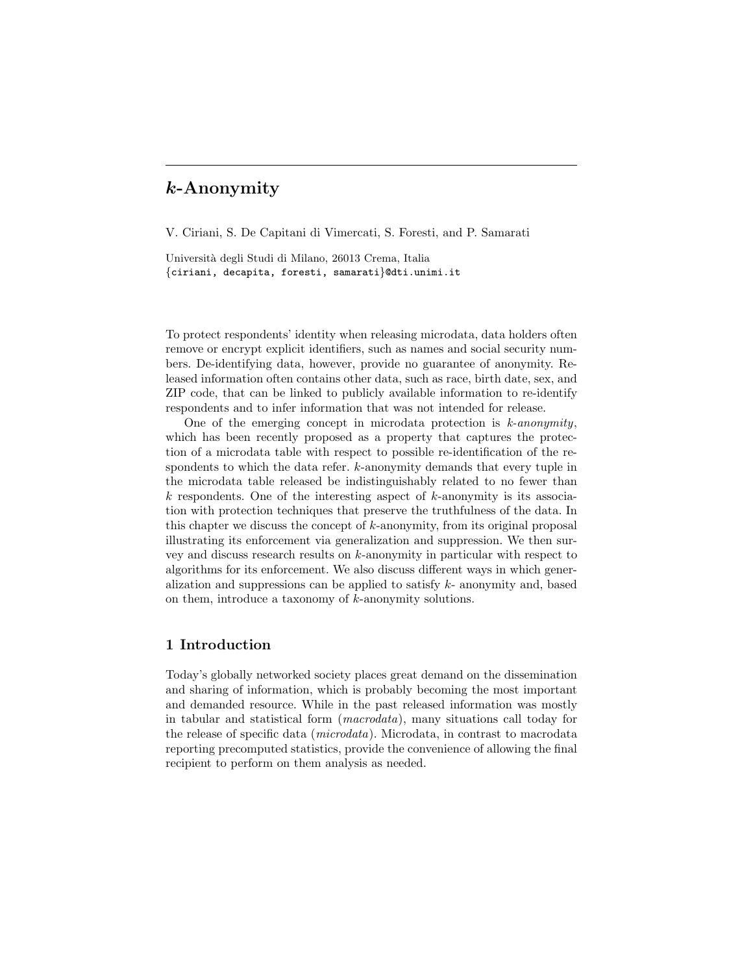# k-Anonymity

V. Ciriani, S. De Capitani di Vimercati, S. Foresti, and P. Samarati

Universit`a degli Studi di Milano, 26013 Crema, Italia {ciriani, decapita, foresti, samarati}@dti.unimi.it

To protect respondents' identity when releasing microdata, data holders often remove or encrypt explicit identifiers, such as names and social security numbers. De-identifying data, however, provide no guarantee of anonymity. Released information often contains other data, such as race, birth date, sex, and ZIP code, that can be linked to publicly available information to re-identify respondents and to infer information that was not intended for release.

One of the emerging concept in microdata protection is  $k$ -anonymity, which has been recently proposed as a property that captures the protection of a microdata table with respect to possible re-identification of the respondents to which the data refer. k-anonymity demands that every tuple in the microdata table released be indistinguishably related to no fewer than k respondents. One of the interesting aspect of  $k$ -anonymity is its association with protection techniques that preserve the truthfulness of the data. In this chapter we discuss the concept of k-anonymity, from its original proposal illustrating its enforcement via generalization and suppression. We then survey and discuss research results on k-anonymity in particular with respect to algorithms for its enforcement. We also discuss different ways in which generalization and suppressions can be applied to satisfy  $k$ - anonymity and, based on them, introduce a taxonomy of k-anonymity solutions.

# 1 Introduction

Today's globally networked society places great demand on the dissemination and sharing of information, which is probably becoming the most important and demanded resource. While in the past released information was mostly in tabular and statistical form (macrodata), many situations call today for the release of specific data (microdata). Microdata, in contrast to macrodata reporting precomputed statistics, provide the convenience of allowing the final recipient to perform on them analysis as needed.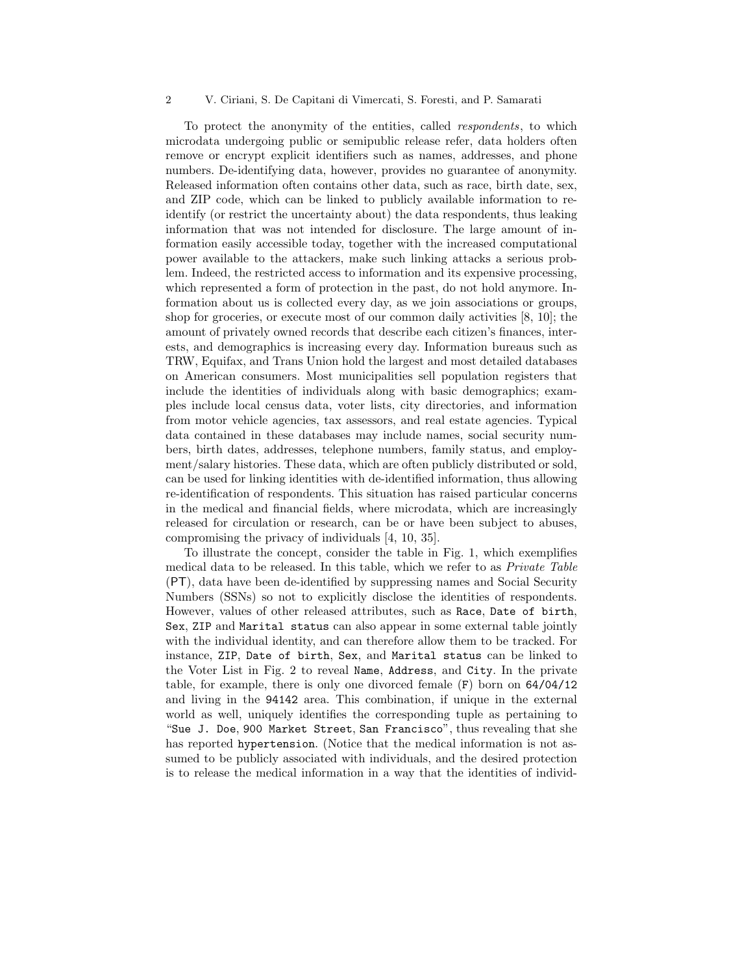To protect the anonymity of the entities, called respondents, to which microdata undergoing public or semipublic release refer, data holders often remove or encrypt explicit identifiers such as names, addresses, and phone numbers. De-identifying data, however, provides no guarantee of anonymity. Released information often contains other data, such as race, birth date, sex, and ZIP code, which can be linked to publicly available information to reidentify (or restrict the uncertainty about) the data respondents, thus leaking information that was not intended for disclosure. The large amount of information easily accessible today, together with the increased computational power available to the attackers, make such linking attacks a serious problem. Indeed, the restricted access to information and its expensive processing, which represented a form of protection in the past, do not hold anymore. Information about us is collected every day, as we join associations or groups, shop for groceries, or execute most of our common daily activities [8, 10]; the amount of privately owned records that describe each citizen's finances, interests, and demographics is increasing every day. Information bureaus such as TRW, Equifax, and Trans Union hold the largest and most detailed databases on American consumers. Most municipalities sell population registers that include the identities of individuals along with basic demographics; examples include local census data, voter lists, city directories, and information from motor vehicle agencies, tax assessors, and real estate agencies. Typical data contained in these databases may include names, social security numbers, birth dates, addresses, telephone numbers, family status, and employment/salary histories. These data, which are often publicly distributed or sold, can be used for linking identities with de-identified information, thus allowing re-identification of respondents. This situation has raised particular concerns in the medical and financial fields, where microdata, which are increasingly released for circulation or research, can be or have been subject to abuses, compromising the privacy of individuals [4, 10, 35].

To illustrate the concept, consider the table in Fig. 1, which exemplifies medical data to be released. In this table, which we refer to as Private Table (PT), data have been de-identified by suppressing names and Social Security Numbers (SSNs) so not to explicitly disclose the identities of respondents. However, values of other released attributes, such as Race, Date of birth, Sex, ZIP and Marital status can also appear in some external table jointly with the individual identity, and can therefore allow them to be tracked. For instance, ZIP, Date of birth, Sex, and Marital status can be linked to the Voter List in Fig. 2 to reveal Name, Address, and City. In the private table, for example, there is only one divorced female (F) born on 64/04/12 and living in the 94142 area. This combination, if unique in the external world as well, uniquely identifies the corresponding tuple as pertaining to "Sue J. Doe, 900 Market Street, San Francisco", thus revealing that she has reported hypertension. (Notice that the medical information is not assumed to be publicly associated with individuals, and the desired protection is to release the medical information in a way that the identities of individ-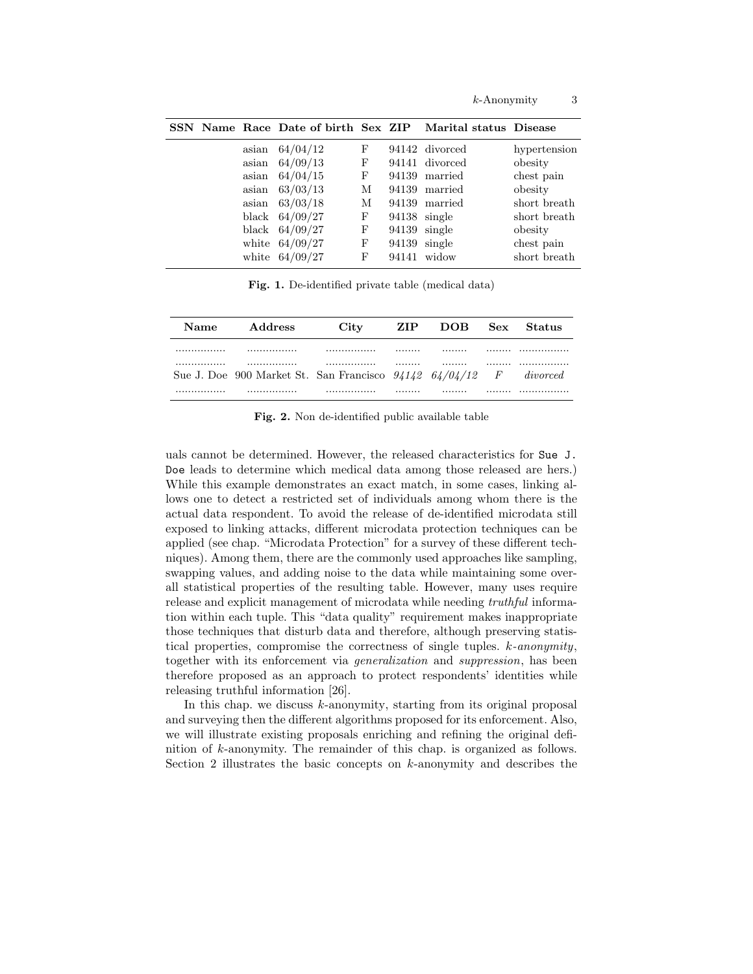|  |       | SSN Name Race Date of birth Sex ZIP |   |       | Marital status Disease |              |
|--|-------|-------------------------------------|---|-------|------------------------|--------------|
|  | asian | 64/04/12                            | F |       | 94142 divorced         | hypertension |
|  | asian | 64/09/13                            | F |       | 94141 divorced         | obesity      |
|  | asian | 64/04/15                            | F |       | 94139 married          | chest pain   |
|  | asian | 63/03/13                            | М |       | 94139 married          | obesity      |
|  | asian | 63/03/18                            | М |       | 94139 married          | short breath |
|  |       | black $64/09/27$                    | F |       | $94138$ single         | short breath |
|  |       | black $64/09/27$                    | F |       | $94139$ single         | obesity      |
|  |       | white $64/09/27$                    | F |       | $94139$ single         | chest pain   |
|  |       | white $64/09/27$                    | F | 94141 | widow                  | short breath |

Fig. 1. De-identified private table (medical data)

| <b>Name</b> | <b>Address</b>                                                | $\mathrm{C}$ ity | ZIP. | DOB | Sex | <b>Status</b>   |
|-------------|---------------------------------------------------------------|------------------|------|-----|-----|-----------------|
| .           |                                                               |                  | .    |     | .   | .               |
| .           | .                                                             | .                | .    | .   | .   | .               |
|             | Sue J. Doe 900 Market St. San Francisco $94142\quad 64/04/12$ |                  |      |     | F   | <i>divorced</i> |
| .           |                                                               |                  | .    |     | .   |                 |

Fig. 2. Non de-identified public available table

uals cannot be determined. However, the released characteristics for Sue J. Doe leads to determine which medical data among those released are hers.) While this example demonstrates an exact match, in some cases, linking allows one to detect a restricted set of individuals among whom there is the actual data respondent. To avoid the release of de-identified microdata still exposed to linking attacks, different microdata protection techniques can be applied (see chap. "Microdata Protection" for a survey of these different techniques). Among them, there are the commonly used approaches like sampling, swapping values, and adding noise to the data while maintaining some overall statistical properties of the resulting table. However, many uses require release and explicit management of microdata while needing *truthful* information within each tuple. This "data quality" requirement makes inappropriate those techniques that disturb data and therefore, although preserving statistical properties, compromise the correctness of single tuples. k-anonymity, together with its enforcement via generalization and suppression, has been therefore proposed as an approach to protect respondents' identities while releasing truthful information [26].

In this chap. we discuss  $k$ -anonymity, starting from its original proposal and surveying then the different algorithms proposed for its enforcement. Also, we will illustrate existing proposals enriching and refining the original definition of k-anonymity. The remainder of this chap. is organized as follows. Section 2 illustrates the basic concepts on  $k$ -anonymity and describes the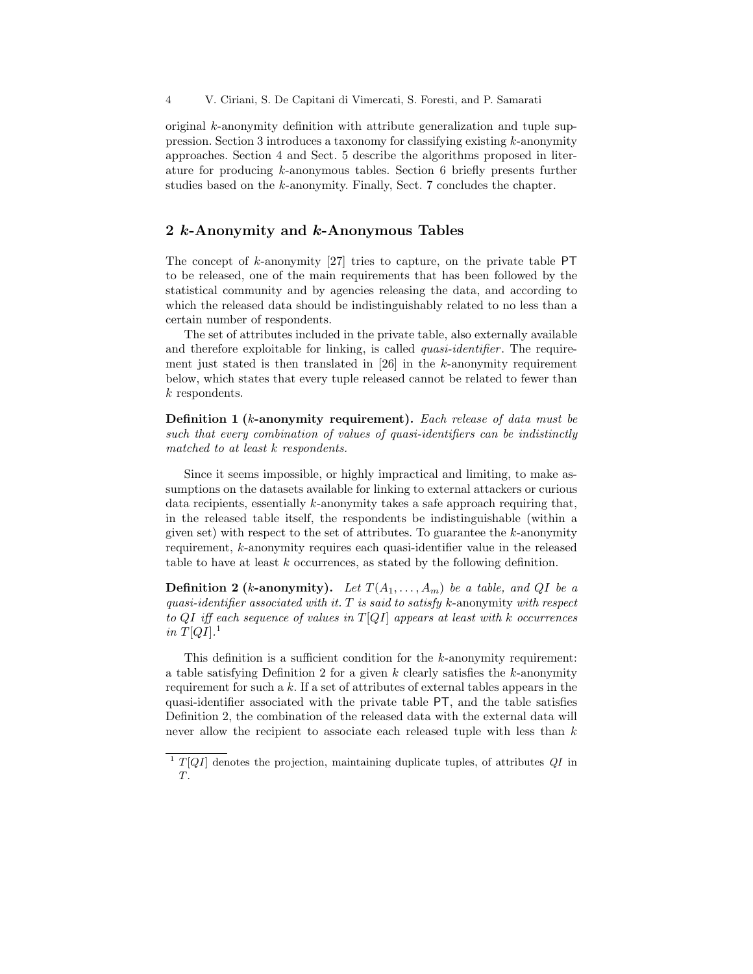original  $k$ -anonymity definition with attribute generalization and tuple suppression. Section 3 introduces a taxonomy for classifying existing k-anonymity approaches. Section 4 and Sect. 5 describe the algorithms proposed in literature for producing k-anonymous tables. Section 6 briefly presents further studies based on the k-anonymity. Finally, Sect. 7 concludes the chapter.

# 2 k-Anonymity and k-Anonymous Tables

The concept of k-anonymity  $[27]$  tries to capture, on the private table PT to be released, one of the main requirements that has been followed by the statistical community and by agencies releasing the data, and according to which the released data should be indistinguishably related to no less than a certain number of respondents.

The set of attributes included in the private table, also externally available and therefore exploitable for linking, is called *quasi-identifier*. The requirement just stated is then translated in  $[26]$  in the k-anonymity requirement below, which states that every tuple released cannot be related to fewer than k respondents.

Definition 1 (k-anonymity requirement). Each release of data must be such that every combination of values of quasi-identifiers can be indistinctly matched to at least k respondents.

Since it seems impossible, or highly impractical and limiting, to make assumptions on the datasets available for linking to external attackers or curious data recipients, essentially  $k$ -anonymity takes a safe approach requiring that, in the released table itself, the respondents be indistinguishable (within a given set) with respect to the set of attributes. To guarantee the  $k$ -anonymity requirement, k-anonymity requires each quasi-identifier value in the released table to have at least k occurrences, as stated by the following definition.

**Definition 2** (*k*-anonymity). Let  $T(A_1, \ldots, A_m)$  be a table, and QI be a quasi-identifier associated with it.  $T$  is said to satisfy k-anonymity with respect to QI iff each sequence of values in  $T[QI]$  appears at least with k occurrences in  $T[QI]$ .<sup>1</sup>

This definition is a sufficient condition for the k-anonymity requirement: a table satisfying Definition 2 for a given  $k$  clearly satisfies the  $k$ -anonymity requirement for such a  $k$ . If a set of attributes of external tables appears in the quasi-identifier associated with the private table PT, and the table satisfies Definition 2, the combination of the released data with the external data will never allow the recipient to associate each released tuple with less than  $k$ 

 $1 T[QI]$  denotes the projection, maintaining duplicate tuples, of attributes  $QI$  in T.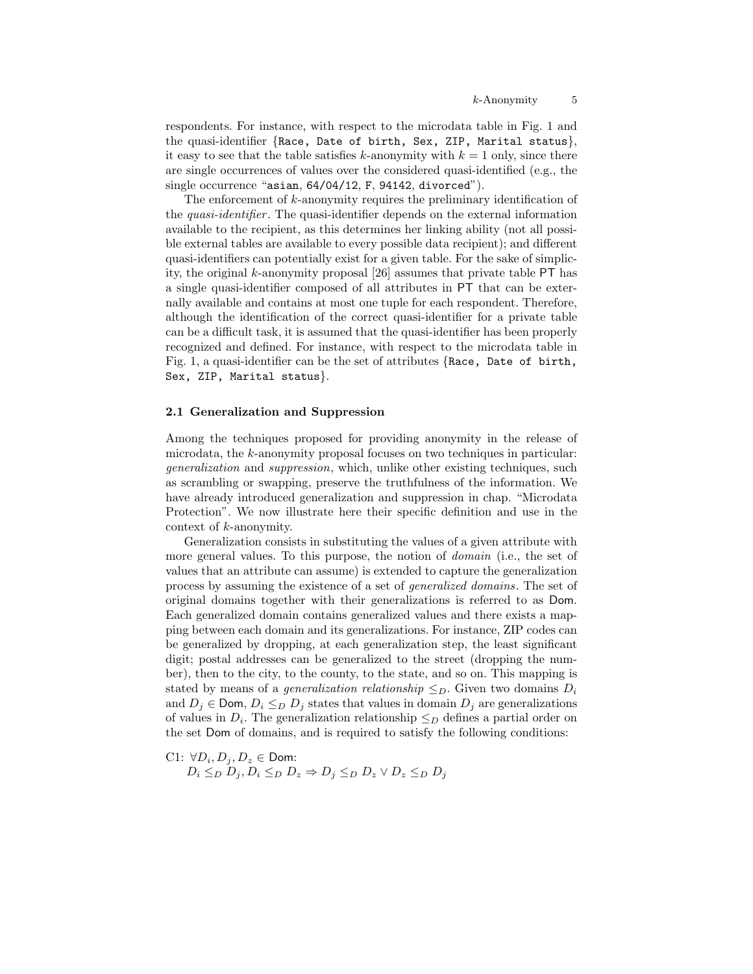respondents. For instance, with respect to the microdata table in Fig. 1 and the quasi-identifier {Race, Date of birth, Sex, ZIP, Marital status}, it easy to see that the table satisfies k-anonymity with  $k = 1$  only, since there are single occurrences of values over the considered quasi-identified (e.g., the single occurrence "asian, 64/04/12, F, 94142, divorced").

The enforcement of k-anonymity requires the preliminary identification of the quasi-identifier . The quasi-identifier depends on the external information available to the recipient, as this determines her linking ability (not all possible external tables are available to every possible data recipient); and different quasi-identifiers can potentially exist for a given table. For the sake of simplicity, the original k-anonymity proposal [26] assumes that private table PT has a single quasi-identifier composed of all attributes in PT that can be externally available and contains at most one tuple for each respondent. Therefore, although the identification of the correct quasi-identifier for a private table can be a difficult task, it is assumed that the quasi-identifier has been properly recognized and defined. For instance, with respect to the microdata table in Fig. 1, a quasi-identifier can be the set of attributes {Race, Date of birth, Sex, ZIP, Marital status}.

### 2.1 Generalization and Suppression

Among the techniques proposed for providing anonymity in the release of microdata, the k-anonymity proposal focuses on two techniques in particular: generalization and suppression, which, unlike other existing techniques, such as scrambling or swapping, preserve the truthfulness of the information. We have already introduced generalization and suppression in chap. "Microdata Protection". We now illustrate here their specific definition and use in the context of k-anonymity.

Generalization consists in substituting the values of a given attribute with more general values. To this purpose, the notion of domain (i.e., the set of values that an attribute can assume) is extended to capture the generalization process by assuming the existence of a set of generalized domains. The set of original domains together with their generalizations is referred to as Dom. Each generalized domain contains generalized values and there exists a mapping between each domain and its generalizations. For instance, ZIP codes can be generalized by dropping, at each generalization step, the least significant digit; postal addresses can be generalized to the street (dropping the number), then to the city, to the county, to the state, and so on. This mapping is stated by means of a *generalization relationship*  $\leq_D$ . Given two domains  $D_i$ and  $D_j \in \text{Dom}, D_i \leq_D D_j$  states that values in domain  $D_j$  are generalizations of values in  $D_i$ . The generalization relationship  $\leq_D$  defines a partial order on the set Dom of domains, and is required to satisfy the following conditions:

C1:  $\forall D_i, D_j, D_z \in$  Dom:  $D_i \leq_D D_j, D_i \leq_D D_z \Rightarrow D_j \leq_D D_z \vee D_z \leq_D D_j$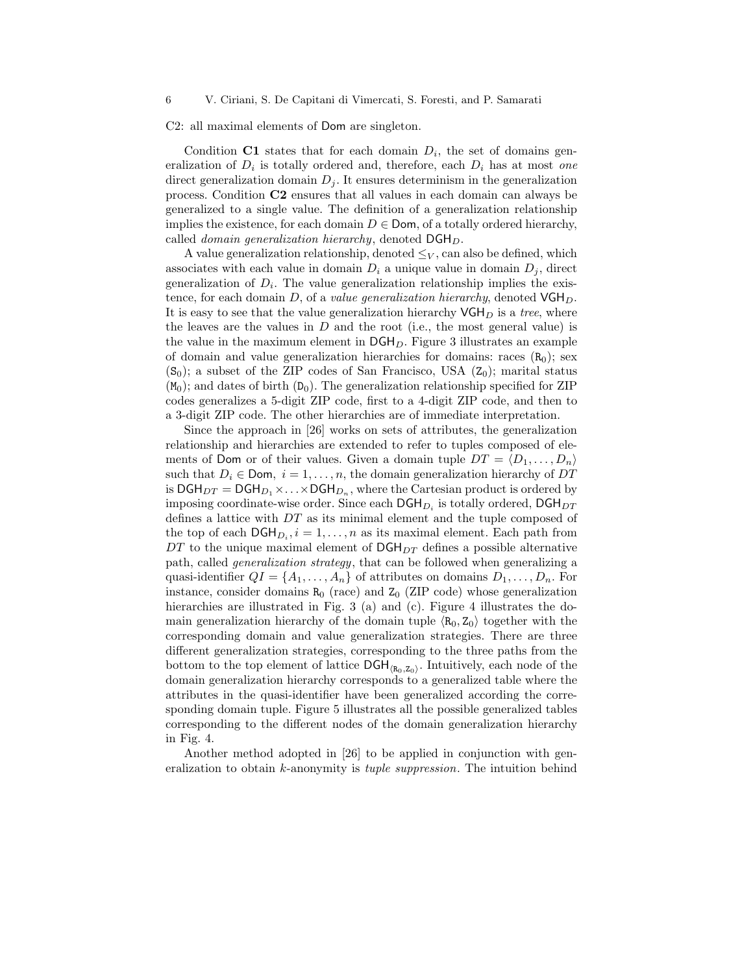C2: all maximal elements of Dom are singleton.

Condition  $C1$  states that for each domain  $D_i$ , the set of domains generalization of  $D_i$  is totally ordered and, therefore, each  $D_i$  has at most one direct generalization domain  $D_i$ . It ensures determinism in the generalization process. Condition C2 ensures that all values in each domain can always be generalized to a single value. The definition of a generalization relationship implies the existence, for each domain  $D \in \mathsf{Dom}$ , of a totally ordered hierarchy, called *domain generalization hierarchy*, denoted  $\text{DGH}_D$ .

A value generalization relationship, denoted  $\leq_V$ , can also be defined, which associates with each value in domain  $D_i$  a unique value in domain  $D_j$ , direct generalization of  $D_i$ . The value generalization relationship implies the existence, for each domain D, of a *value generalization hierarchy*, denoted  $VGH<sub>D</sub>$ . It is easy to see that the value generalization hierarchy  $\mathsf{VGH}_D$  is a tree, where the leaves are the values in  $D$  and the root (i.e., the most general value) is the value in the maximum element in  $\mathsf{DGH}_D$ . Figure 3 illustrates an example of domain and value generalization hierarchies for domains: races  $(R_0)$ ; sex  $(S_0)$ ; a subset of the ZIP codes of San Francisco, USA  $(Z_0)$ ; marital status  $(M_0)$ ; and dates of birth  $(D_0)$ . The generalization relationship specified for ZIP codes generalizes a 5-digit ZIP code, first to a 4-digit ZIP code, and then to a 3-digit ZIP code. The other hierarchies are of immediate interpretation.

Since the approach in [26] works on sets of attributes, the generalization relationship and hierarchies are extended to refer to tuples composed of elements of Dom or of their values. Given a domain tuple  $DT = \langle D_1, \ldots, D_n \rangle$ such that  $D_i \in \mathsf{Dom}, i = 1, \ldots, n$ , the domain generalization hierarchy of DT is  $\mathsf{DGH}_{DT}=\mathsf{DGH}_{D_1}\times\ldots\times\mathsf{DGH}_{D_n},$  where the Cartesian product is ordered by imposing coordinate-wise order. Since each  $\mathsf{DGH}_{D_i}$  is totally ordered,  $\mathsf{DGH}_{D1}$ defines a lattice with  $DT$  as its minimal element and the tuple composed of the top of each  $\text{DGH}_{D_i}, i = 1, \ldots, n$  as its maximal element. Each path from DT to the unique maximal element of  $\text{DGH}_{DT}$  defines a possible alternative path, called generalization strategy, that can be followed when generalizing a quasi-identifier  $QI = \{A_1, \ldots, A_n\}$  of attributes on domains  $D_1, \ldots, D_n$ . For instance, consider domains  $R_0$  (race) and  $Z_0$  (ZIP code) whose generalization hierarchies are illustrated in Fig. 3 (a) and (c). Figure 4 illustrates the domain generalization hierarchy of the domain tuple  $\langle R_0, Z_0 \rangle$  together with the corresponding domain and value generalization strategies. There are three different generalization strategies, corresponding to the three paths from the bottom to the top element of lattice  $\mathsf{DGH}_{\langle R_0,Z_0\rangle}$ . Intuitively, each node of the domain generalization hierarchy corresponds to a generalized table where the attributes in the quasi-identifier have been generalized according the corresponding domain tuple. Figure 5 illustrates all the possible generalized tables corresponding to the different nodes of the domain generalization hierarchy in Fig. 4.

Another method adopted in [26] to be applied in conjunction with generalization to obtain k-anonymity is *tuple suppression*. The intuition behind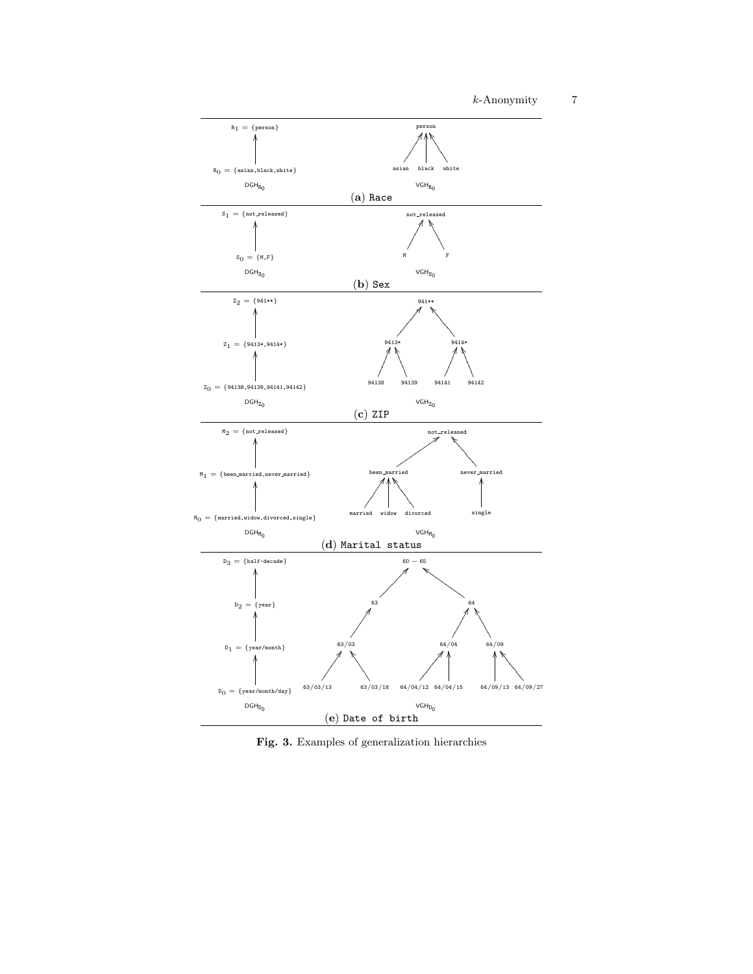

Fig. 3. Examples of generalization hierarchies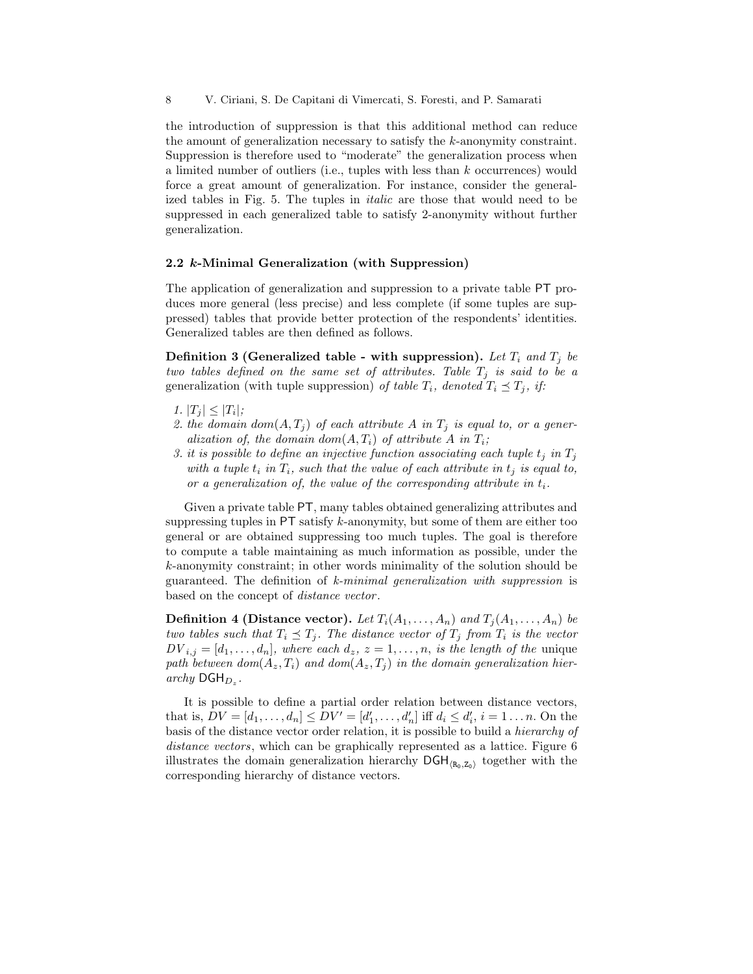the introduction of suppression is that this additional method can reduce the amount of generalization necessary to satisfy the k-anonymity constraint. Suppression is therefore used to "moderate" the generalization process when a limited number of outliers (i.e., tuples with less than k occurrences) would force a great amount of generalization. For instance, consider the generalized tables in Fig. 5. The tuples in italic are those that would need to be suppressed in each generalized table to satisfy 2-anonymity without further generalization.

### 2.2 k-Minimal Generalization (with Suppression)

The application of generalization and suppression to a private table PT produces more general (less precise) and less complete (if some tuples are suppressed) tables that provide better protection of the respondents' identities. Generalized tables are then defined as follows.

Definition 3 (Generalized table - with suppression). Let  $T_i$  and  $T_j$  be two tables defined on the same set of attributes. Table  $T_j$  is said to be a generalization (with tuple suppression) of table  $T_i$ , denoted  $T_i \preceq T_j$ , if:

- 1.  $|T_j| \leq |T_i|;$
- 2. the domain dom $(A, T_i)$  of each attribute A in  $T_i$  is equal to, or a generalization of, the domain dom $(A, T_i)$  of attribute A in  $T_i$ ;
- 3. it is possible to define an injective function associating each tuple  $t_i$  in  $T_i$ with a tuple  $t_i$  in  $T_i$ , such that the value of each attribute in  $t_j$  is equal to, or a generalization of, the value of the corresponding attribute in  $t_i$ .

Given a private table PT, many tables obtained generalizing attributes and suppressing tuples in  $PT$  satisfy k-anonymity, but some of them are either too general or are obtained suppressing too much tuples. The goal is therefore to compute a table maintaining as much information as possible, under the k-anonymity constraint; in other words minimality of the solution should be guaranteed. The definition of k-minimal generalization with suppression is based on the concept of *distance vector*.

**Definition 4 (Distance vector).** Let  $T_i(A_1, \ldots, A_n)$  and  $T_j(A_1, \ldots, A_n)$  be two tables such that  $T_i \preceq T_j$ . The distance vector of  $T_j$  from  $T_i$  is the vector  $DV_{i,j} = [d_1, \ldots, d_n],$  where each  $d_z, z = 1, \ldots, n$ , is the length of the unique path between  $dom(A_z, T_i)$  and  $dom(A_z, T_i)$  in the domain generalization hierarchy  $\mathsf{DGH}_{D_z}$ .

It is possible to define a partial order relation between distance vectors, that is,  $DV = [d_1, ..., d_n] \le DV' = [d'_1, ..., d'_n]$  iff  $d_i \le d'_i$ ,  $i = 1...n$ . On the basis of the distance vector order relation, it is possible to build a hierarchy of distance vectors, which can be graphically represented as a lattice. Figure 6 illustrates the domain generalization hierarchy  $\text{DGH}_{(R_0,Z_0)}$  together with the corresponding hierarchy of distance vectors.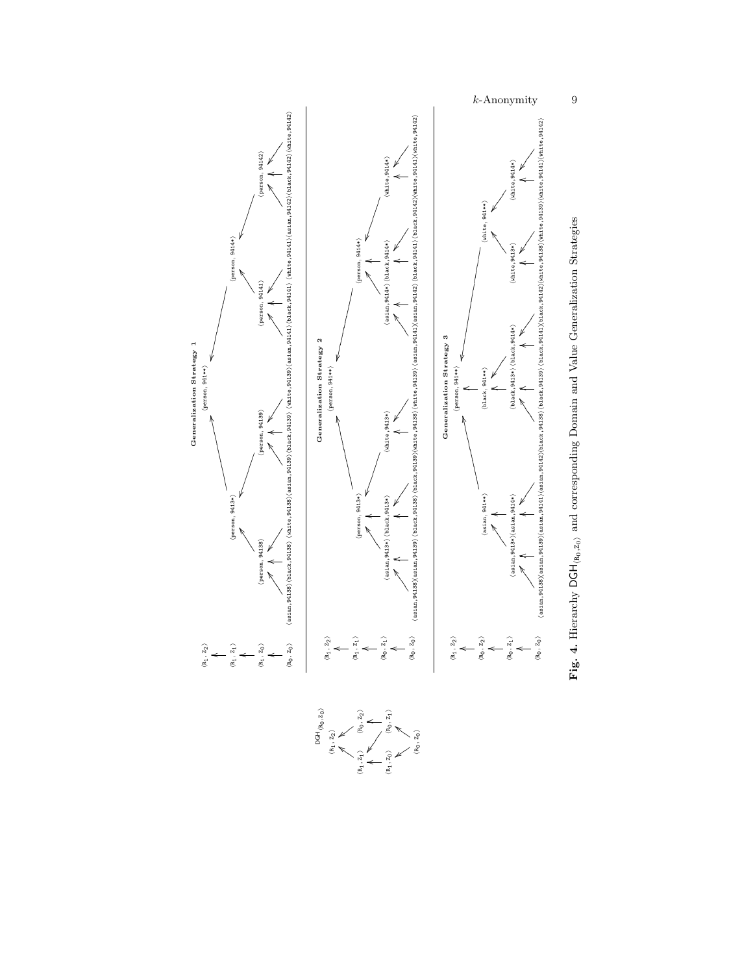



 $D_{\text{CH}}^{(R)}$  $,$   $z_0$  $(R_1, Z_2)$  $\bigwedge$  (R<sub>1</sub>, Z<sub>1</sub>)  $(R_0, Z_2)$ <sup>Z</sup>6 6 6  $(R_1, Z_0)$ O  $(R_0, Z_1)$ O  $\frac{d}{dx}$ <sup>Z</sup>6 6 6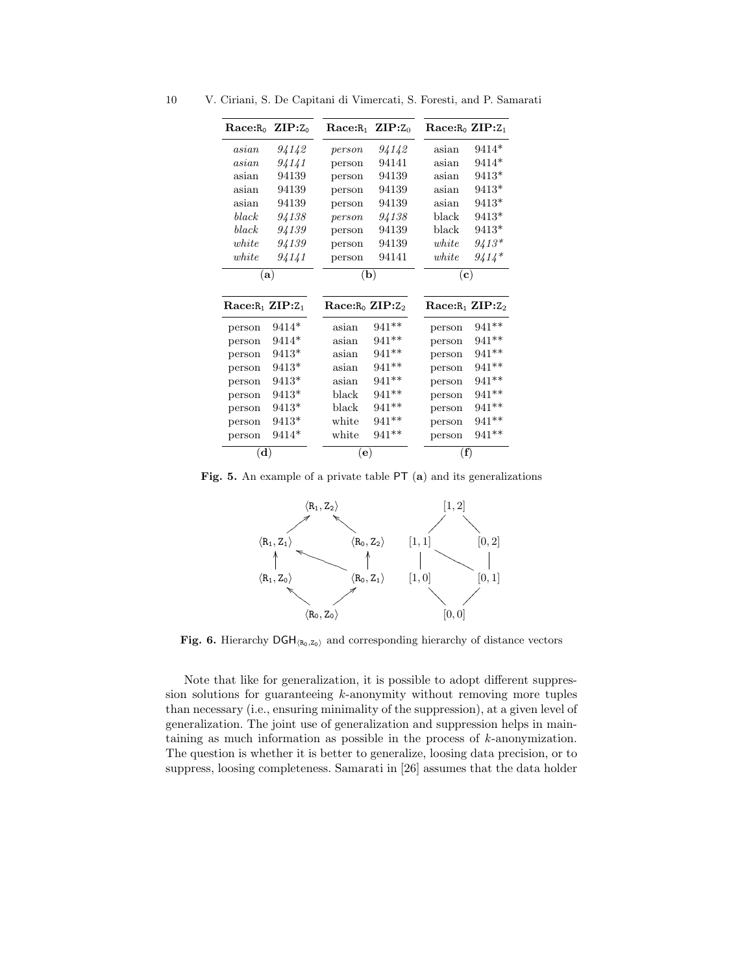| Race: $R_0$ ZIP: $Z_0$  |         | $\text{Race:}\mathbb{R}_1$ ZIP: $\mathbb{Z}_0$ |         | $\text{Race:}\mathbb{R}_0$ $\text{ZIP:}\mathbb{Z}_1$ |         |
|-------------------------|---------|------------------------------------------------|---------|------------------------------------------------------|---------|
| asian                   | 94142   | person                                         | 94142   | asian                                                | 9414*   |
| asian                   | 94141   | person                                         | 94141   | asian                                                | $9414*$ |
| asian                   | 94139   | person                                         | 94139   | asian                                                | 9413*   |
| asian                   | 94139   | person                                         | 94139   | asian                                                | 9413*   |
| asian                   | 94139   | person                                         | 94139   | asian                                                | 9413*   |
| black                   | 94138   | person                                         | 94138   | black                                                | $9413*$ |
| black                   | 94139   | person                                         | 94139   | black                                                | $9413*$ |
| white                   | 94139   | person                                         | 94139   | white                                                | $9413*$ |
| white                   | 94141   | person                                         | 94141   | white                                                | $9414*$ |
| (a)                     |         | $\mathbf{(b)}$                                 |         | (c)                                                  |         |
|                         |         |                                                |         |                                                      |         |
| $Race:R_1 \t\t ZIP:Z_1$ |         | Race: $R_0$ ZIP: $Z_2$                         |         | Race: $R_1$ ZIP: $Z_2$                               |         |
| person                  | 9414*   | asian                                          | $941**$ | person                                               | 941**   |
| person                  | 9414*   | asian                                          | $941**$ | person                                               | $941**$ |
| person                  | $9413*$ | asian                                          | $941**$ | person                                               | 941**   |
| person                  | 9413*   | asian                                          | $941**$ | person                                               | $941**$ |
| person                  | $9413*$ | asian                                          | $941**$ | person                                               | $941**$ |
| person                  | 9413*   | black                                          | $941**$ | person                                               | $941**$ |
| person                  | $9413*$ | black                                          | $941**$ | person                                               | $941**$ |
| person                  | $9413*$ | white                                          | $941**$ | person                                               | $941**$ |
| person                  | 9414*   | white                                          | $941**$ | person                                               | $941**$ |

10 V. Ciriani, S. De Capitani di Vimercati, S. Foresti, and P. Samarati

Fig. 5. An example of a private table PT (a) and its generalizations



Fig. 6. Hierarchy  $\mathsf{DGH}_{\langle R_0,Z_0\rangle}$  and corresponding hierarchy of distance vectors

Note that like for generalization, it is possible to adopt different suppression solutions for guaranteeing k-anonymity without removing more tuples than necessary (i.e., ensuring minimality of the suppression), at a given level of generalization. The joint use of generalization and suppression helps in maintaining as much information as possible in the process of k-anonymization. The question is whether it is better to generalize, loosing data precision, or to suppress, loosing completeness. Samarati in [26] assumes that the data holder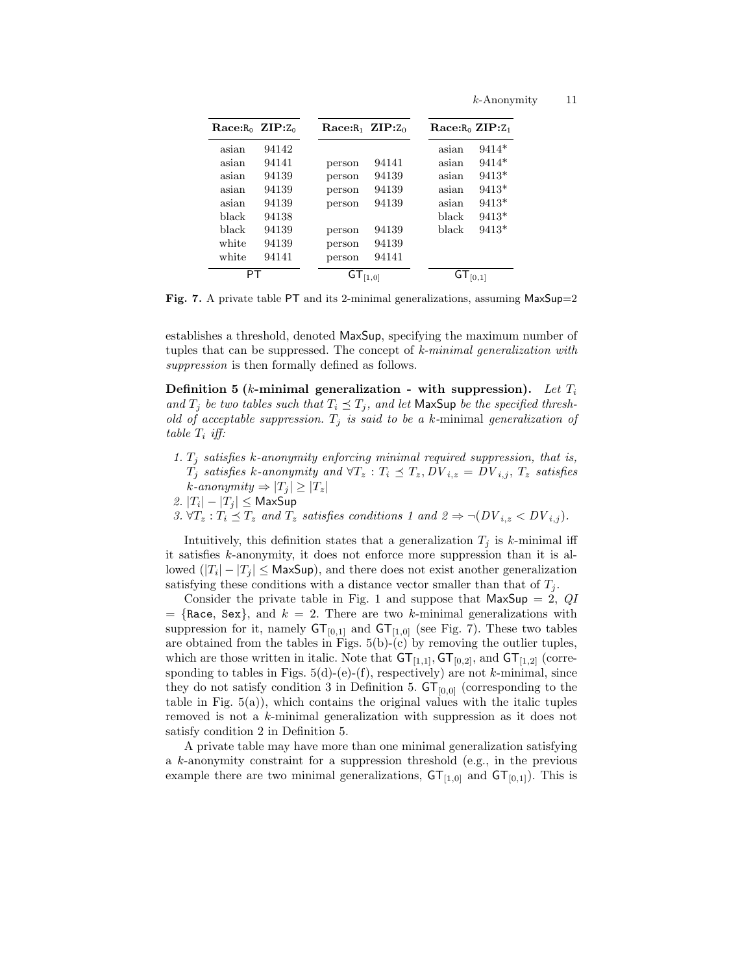| Race: $R_0$ ZIP: $Z_0$ |       | $Race:R_1$ ZIP: $Z_0$ |       | $\rm{Race:R}_{0}$ $\rm{ZIP:Z}_{1}$ |         |
|------------------------|-------|-----------------------|-------|------------------------------------|---------|
| asian                  | 94142 |                       |       | asian                              | 9414*   |
| asian                  | 94141 | person                | 94141 | asian                              | $9414*$ |
| asian                  | 94139 | person                | 94139 | asian                              | $9413*$ |
| asian                  | 94139 | person                | 94139 | asian                              | $9413*$ |
| asian                  | 94139 | person                | 94139 | asian                              | $9413*$ |
| black                  | 94138 |                       |       | black                              | $9413*$ |
| black                  | 94139 | person                | 94139 | black                              | $9413*$ |
| white                  | 94139 | person                | 94139 |                                    |         |
| white                  | 94141 | person                | 94141 |                                    |         |
| PТ                     |       | $G1_{[1,0]}$          |       | $G I_{[0,1]}$                      |         |

Fig. 7. A private table PT and its 2-minimal generalizations, assuming  $MaxSup=2$ 

establishes a threshold, denoted MaxSup, specifying the maximum number of tuples that can be suppressed. The concept of k-minimal generalization with suppression is then formally defined as follows.

Definition 5 (k-minimal generalization - with suppression). Let  $T_i$ and  $T_j$  be two tables such that  $T_i \preceq T_j$ , and let MaxSup be the specified threshold of acceptable suppression.  $T_j$  is said to be a k-minimal generalization of table  $T_i$  iff:

- 1.  $T_j$  satisfies k-anonymity enforcing minimal required suppression, that is,  $T_j$  satisfies k-anonymity and  $\forall T_z : T_i \preceq T_z, DV_{i,z} = DV_{i,j}, T_z$  satisfies  $k\text{-}anonymity \Rightarrow |T_j| \geq |T_z|$
- 2.  $|T_i| |T_j| \leq$  MaxSup
- 3.  $\forall T_z : T_i \preceq T_z$  and  $T_z$  satisfies conditions 1 and  $2 \Rightarrow \neg (DV_{i,z} < DV_{i,j}).$

Intuitively, this definition states that a generalization  $T_j$  is k-minimal iff it satisfies k-anonymity, it does not enforce more suppression than it is allowed  $(|T_i| - |T_j| \leq$  MaxSup), and there does not exist another generalization satisfying these conditions with a distance vector smaller than that of  $T_i$ .

Consider the private table in Fig. 1 and suppose that  $MaxSup = 2$ , QI  $=$  {Race, Sex}, and  $k = 2$ . There are two k-minimal generalizations with suppression for it, namely  $GT_{[0,1]}$  and  $GT_{[1,0]}$  (see Fig. 7). These two tables are obtained from the tables in Figs.  $5(b)-(c)$  by removing the outlier tuples, which are those written in italic. Note that  $GT_{[1,1]}, GT_{[0,2]}$ , and  $GT_{[1,2]}$  (corresponding to tables in Figs.  $5(d)-(e)-(f)$ , respectively) are not k-minimal, since they do not satisfy condition 3 in Definition 5.  $GT_{[0,0]}$  (corresponding to the table in Fig. 5(a)), which contains the original values with the italic tuples removed is not a k-minimal generalization with suppression as it does not satisfy condition 2 in Definition 5.

A private table may have more than one minimal generalization satisfying a k-anonymity constraint for a suppression threshold (e.g., in the previous example there are two minimal generalizations,  $GT_{[1,0]}$  and  $GT_{[0,1]}$ ). This is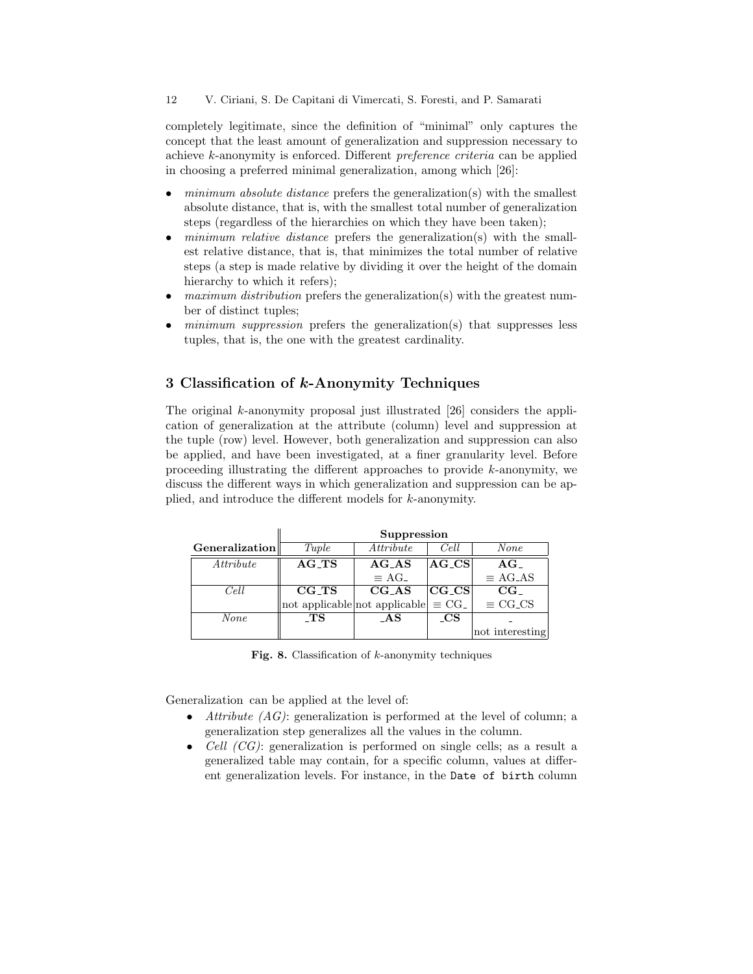completely legitimate, since the definition of "minimal" only captures the concept that the least amount of generalization and suppression necessary to achieve k-anonymity is enforced. Different preference criteria can be applied in choosing a preferred minimal generalization, among which [26]:

- minimum absolute distance prefers the generalization(s) with the smallest absolute distance, that is, with the smallest total number of generalization steps (regardless of the hierarchies on which they have been taken);
- *minimum relative distance* prefers the generalization(s) with the smallest relative distance, that is, that minimizes the total number of relative steps (a step is made relative by dividing it over the height of the domain hierarchy to which it refers);
- $maximum distribution$  prefers the generalization(s) with the greatest number of distinct tuples;
- *minimum suppression* prefers the generalization(s) that suppresses less tuples, that is, the one with the greatest cardinality.

# 3 Classification of k-Anonymity Techniques

The original k-anonymity proposal just illustrated [26] considers the application of generalization at the attribute (column) level and suppression at the tuple (row) level. However, both generalization and suppression can also be applied, and have been investigated, at a finer granularity level. Before proceeding illustrating the different approaches to provide k-anonymity, we discuss the different ways in which generalization and suppression can be applied, and introduce the different models for k-anonymity.

|                | Suppression |                               |                          |                 |  |  |  |  |
|----------------|-------------|-------------------------------|--------------------------|-----------------|--|--|--|--|
| Generalization | Tuple       | Attribute                     | Cell                     | <i>None</i>     |  |  |  |  |
| Attribute      | $AG_TS$     | AG AS                         | $ AG_CS $                | $AG_{-}$        |  |  |  |  |
|                |             | $\equiv$ AG_                  |                          | $\equiv$ AG_AS  |  |  |  |  |
| Cell           | CG TS       | $CG\_AS$                      | $CG_C S$                 | CG              |  |  |  |  |
|                |             | not applicable not applicable | $\equiv$ CG <sub>-</sub> | $\equiv$ CG_CS  |  |  |  |  |
| <b>None</b>    | $\_TS$      | $-AS$                         | $\mathbf{C}$ S           |                 |  |  |  |  |
|                |             |                               |                          | not interesting |  |  |  |  |

Fig. 8. Classification of  $k$ -anonymity techniques

Generalization can be applied at the level of:

- Attribute  $(AG)$ : generalization is performed at the level of column; a generalization step generalizes all the values in the column.
- Cell  $(CG)$ : generalization is performed on single cells; as a result a generalized table may contain, for a specific column, values at different generalization levels. For instance, in the Date of birth column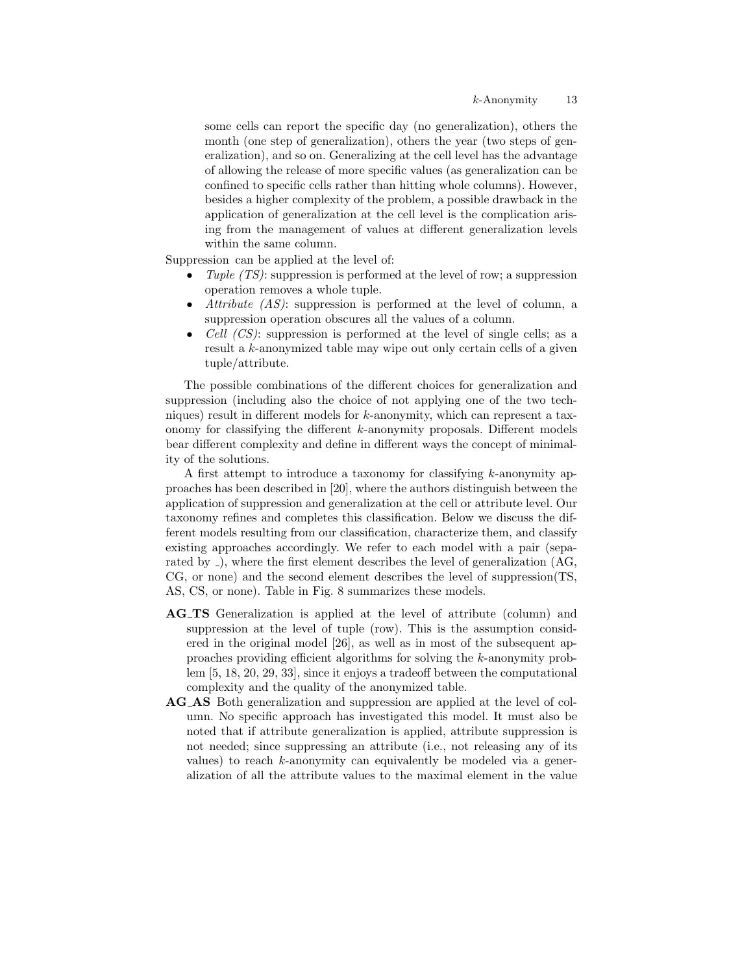some cells can report the specific day (no generalization), others the month (one step of generalization), others the year (two steps of generalization), and so on. Generalizing at the cell level has the advantage of allowing the release of more specific values (as generalization can be confined to specific cells rather than hitting whole columns). However, besides a higher complexity of the problem, a possible drawback in the application of generalization at the cell level is the complication arising from the management of values at different generalization levels within the same column.

Suppression can be applied at the level of:

- Tuple  $(TS)$ : suppression is performed at the level of row; a suppression operation removes a whole tuple.
- Attribute  $(AS)$ : suppression is performed at the level of column, a suppression operation obscures all the values of a column.
- *Cell (CS)*: suppression is performed at the level of single cells; as a result a k-anonymized table may wipe out only certain cells of a given tuple/attribute.

The possible combinations of the different choices for generalization and suppression (including also the choice of not applying one of the two techniques) result in different models for k-anonymity, which can represent a taxonomy for classifying the different k-anonymity proposals. Different models bear different complexity and define in different ways the concept of minimality of the solutions.

A first attempt to introduce a taxonomy for classifying k-anonymity approaches has been described in [20], where the authors distinguish between the application of suppression and generalization at the cell or attribute level. Our taxonomy refines and completes this classification. Below we discuss the different models resulting from our classification, characterize them, and classify existing approaches accordingly. We refer to each model with a pair (separated by  $\Box$ ), where the first element describes the level of generalization (AG, CG, or none) and the second element describes the level of suppression(TS, AS, CS, or none). Table in Fig. 8 summarizes these models.

- AG TS Generalization is applied at the level of attribute (column) and suppression at the level of tuple (row). This is the assumption considered in the original model [26], as well as in most of the subsequent approaches providing efficient algorithms for solving the k-anonymity problem [5, 18, 20, 29, 33], since it enjoys a tradeoff between the computational complexity and the quality of the anonymized table.
- AG AS Both generalization and suppression are applied at the level of column. No specific approach has investigated this model. It must also be noted that if attribute generalization is applied, attribute suppression is not needed; since suppressing an attribute (i.e., not releasing any of its values) to reach k-anonymity can equivalently be modeled via a generalization of all the attribute values to the maximal element in the value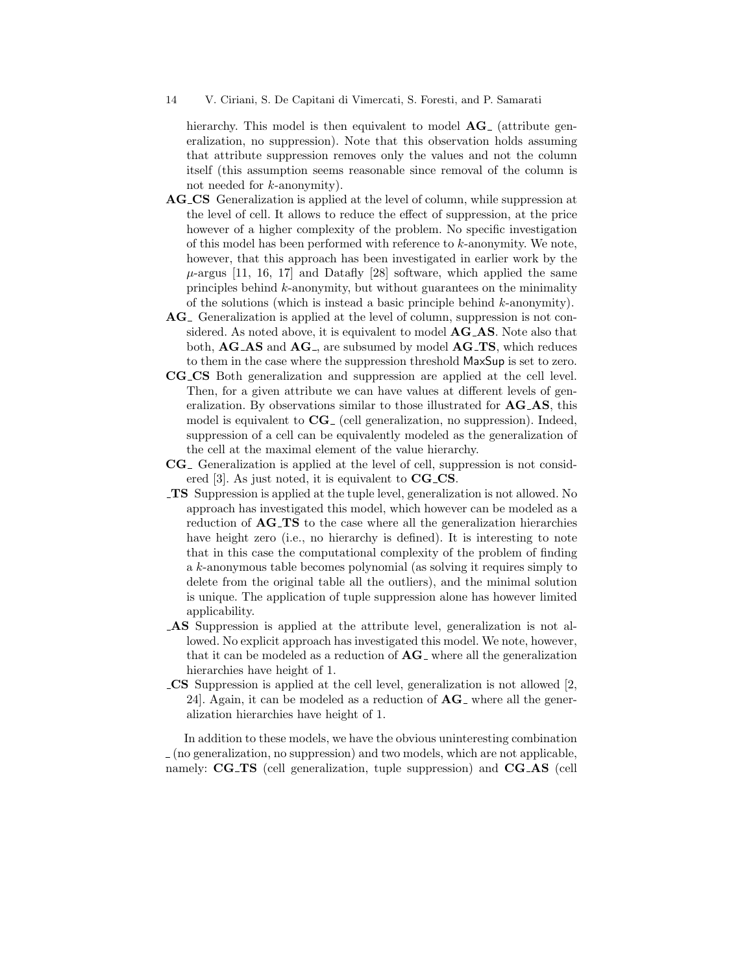hierarchy. This model is then equivalent to model  $AG_{-}$  (attribute generalization, no suppression). Note that this observation holds assuming that attribute suppression removes only the values and not the column itself (this assumption seems reasonable since removal of the column is not needed for k-anonymity).

- AG CS Generalization is applied at the level of column, while suppression at the level of cell. It allows to reduce the effect of suppression, at the price however of a higher complexity of the problem. No specific investigation of this model has been performed with reference to  $k$ -anonymity. We note, however, that this approach has been investigated in earlier work by the  $\mu$ -argus [11, 16, 17] and Datafly [28] software, which applied the same principles behind  $k$ -anonymity, but without guarantees on the minimality of the solutions (which is instead a basic principle behind  $k$ -anonymity).
- AG Generalization is applied at the level of column, suppression is not considered. As noted above, it is equivalent to model **AG\_AS**. Note also that both,  $\overline{AG}$  AS and  $\overline{AG}$ , are subsumed by model  $\overline{AG}$  TS, which reduces to them in the case where the suppression threshold MaxSup is set to zero.
- CG CS Both generalization and suppression are applied at the cell level. Then, for a given attribute we can have values at different levels of generalization. By observations similar to those illustrated for **AG\_AS**, this model is equivalent to  $CG_{-}$  (cell generalization, no suppression). Indeed, suppression of a cell can be equivalently modeled as the generalization of the cell at the maximal element of the value hierarchy.
- CG Generalization is applied at the level of cell, suppression is not considered [3]. As just noted, it is equivalent to CG\_CS.
- TS Suppression is applied at the tuple level, generalization is not allowed. No approach has investigated this model, which however can be modeled as a reduction of  $AG_TS$  to the case where all the generalization hierarchies have height zero (i.e., no hierarchy is defined). It is interesting to note that in this case the computational complexity of the problem of finding a k-anonymous table becomes polynomial (as solving it requires simply to delete from the original table all the outliers), and the minimal solution is unique. The application of tuple suppression alone has however limited applicability.
- AS Suppression is applied at the attribute level, generalization is not allowed. No explicit approach has investigated this model. We note, however, that it can be modeled as a reduction of  $AG$ , where all the generalization hierarchies have height of 1.
- CS Suppression is applied at the cell level, generalization is not allowed [2, 24. Again, it can be modeled as a reduction of  $AG$  where all the generalization hierarchies have height of 1.

In addition to these models, we have the obvious uninteresting combination (no generalization, no suppression) and two models, which are not applicable, namely: CG<sub>-TS</sub> (cell generalization, tuple suppression) and CG<sub>-AS</sub> (cell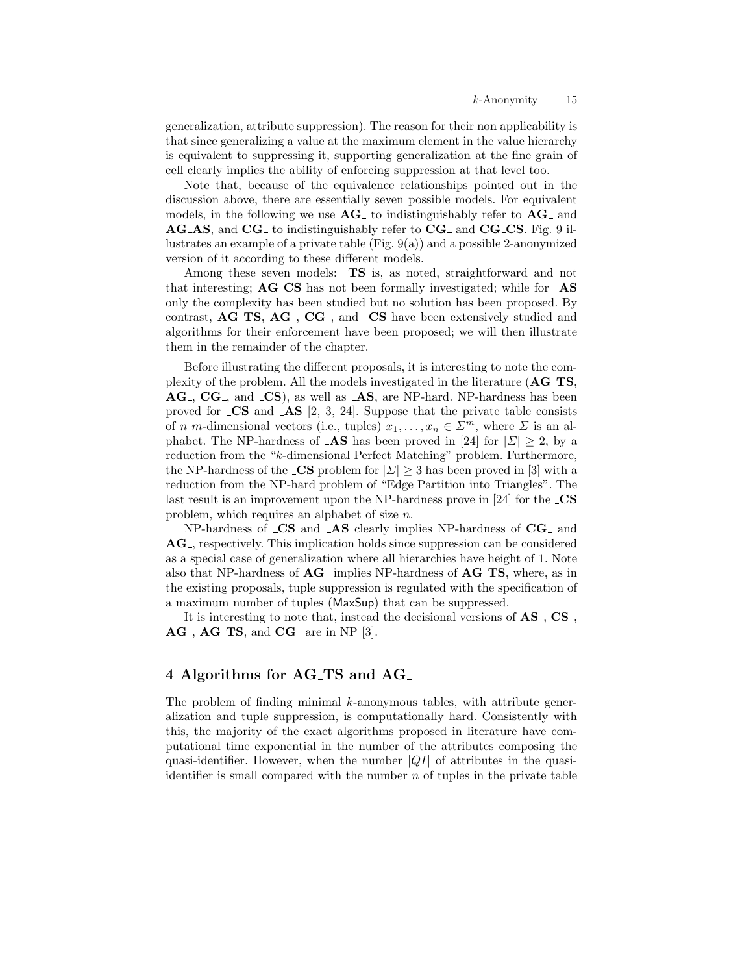generalization, attribute suppression). The reason for their non applicability is that since generalizing a value at the maximum element in the value hierarchy is equivalent to suppressing it, supporting generalization at the fine grain of cell clearly implies the ability of enforcing suppression at that level too.

Note that, because of the equivalence relationships pointed out in the discussion above, there are essentially seven possible models. For equivalent models, in the following we use  $AG$  to indistinguishably refer to  $AG$  and AG\_AS, and CG\_ to indistinguishably refer to CG\_ and CG\_CS. Fig. 9 illustrates an example of a private table (Fig.  $9(a)$ ) and a possible 2-anonymized version of it according to these different models.

Among these seven models: TS is, as noted, straightforward and not that interesting; AG CS has not been formally investigated; while for AS only the complexity has been studied but no solution has been proposed. By contrast,  $AG_TS$ ,  $AG$ ,  $CG$ , and  $CS$  have been extensively studied and algorithms for their enforcement have been proposed; we will then illustrate them in the remainder of the chapter.

Before illustrating the different proposals, it is interesting to note the complexity of the problem. All the models investigated in the literature  $(AG\_TS,$  $AG_{-}$ ,  $CG_{-}$ , and  $\text{-CS}$ ), as well as  $\text{-AS}$ , are NP-hard. NP-hardness has been proved for  $\mathbb{C}\mathbf{S}$  and  $\mathbb{A}\mathbf{S}$  [2, 3, 24]. Suppose that the private table consists of n m-dimensional vectors (i.e., tuples)  $x_1, \ldots, x_n \in \Sigma^m$ , where  $\Sigma$  is an alphabet. The NP-hardness of **AS** has been proved in [24] for  $|\Sigma| \geq 2$ , by a reduction from the "k-dimensional Perfect Matching" problem. Furthermore, the NP-hardness of the  $\text{CS}$  problem for  $|\Sigma| > 3$  has been proved in [3] with a reduction from the NP-hard problem of "Edge Partition into Triangles". The last result is an improvement upon the NP-hardness prove in [24] for the **CS** problem, which requires an alphabet of size n.

NP-hardness of  $\mathbb{C}S$  and  $\mathbb{A}S$  clearly implies NP-hardness of  $\mathbb{C}G$  and AG , respectively. This implication holds since suppression can be considered as a special case of generalization where all hierarchies have height of 1. Note also that NP-hardness of  $AG$  implies NP-hardness of  $AG$  $TS$ , where, as in the existing proposals, tuple suppression is regulated with the specification of a maximum number of tuples (MaxSup) that can be suppressed.

It is interesting to note that, instead the decisional versions of  $AS<sub>-</sub>$ ,  $CS<sub>-</sub>$ ,  $AG_{-}$ ,  $AG_{-}TS$ , and  $CG_{-}$  are in NP [3].

# 4 Algorithms for AG TS and AG

The problem of finding minimal  $k$ -anonymous tables, with attribute generalization and tuple suppression, is computationally hard. Consistently with this, the majority of the exact algorithms proposed in literature have computational time exponential in the number of the attributes composing the quasi-identifier. However, when the number  $|QI|$  of attributes in the quasiidentifier is small compared with the number  $n$  of tuples in the private table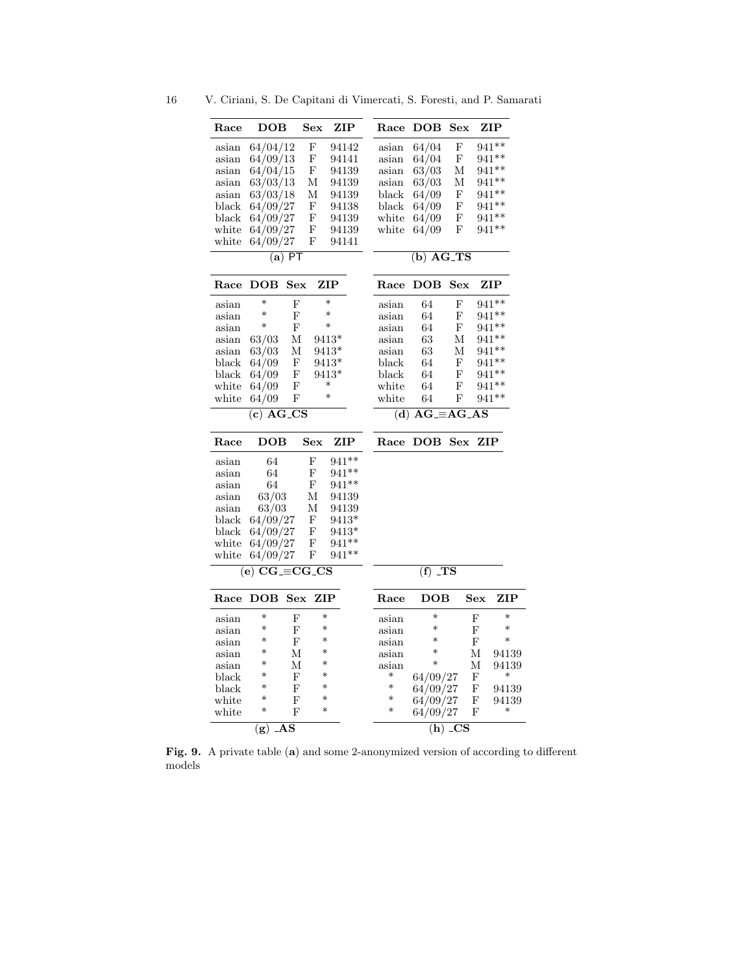| Race           | $\bf{DOB}$                           |                                   | Sex               | ZIP            | Race        | $\bf{DOB}$                   | Sex                       | ZIP          |                  |
|----------------|--------------------------------------|-----------------------------------|-------------------|----------------|-------------|------------------------------|---------------------------|--------------|------------------|
| asian          | 64/04/12                             |                                   | ${\rm F}$         | 94142          | asian       | 64/04                        | $\boldsymbol{\mathrm{F}}$ | $941**$      |                  |
| asian          | 64/09/13                             |                                   | F                 | 94141          | asian       | 64/04                        | $\mathbf F$               | $941**$      |                  |
| asian          | 64/04/15                             |                                   | F                 | 94139          | asian       | 63/03                        | М                         | $941**$      |                  |
| asian          | 63/03/13                             |                                   | М                 | 94139          | asian       | 63/03                        | М                         | $941**$      |                  |
| asian          | 63/03/18                             |                                   | М                 | 94139          | black       | 64/09                        | F                         | $941**$      |                  |
| black          | 64/09/27                             |                                   | F                 | 94138          | black       | 64/09                        | $\boldsymbol{\mathrm{F}}$ | $941**$      |                  |
| black          | 64/09/27                             |                                   | F                 | 94139          | white       | 64/09                        | F                         | 941**        |                  |
| white          | 64/09/27                             |                                   | F                 | 94139          | white       | 64/09                        | F                         | $941**$      |                  |
| white          | 64/09/27                             |                                   | F                 | 94141          |             |                              |                           |              |                  |
|                |                                      | $(a)$ PT                          |                   |                |             | $(b)$ AG_TS                  |                           |              |                  |
| Race           | DOB                                  | <b>Sex</b>                        | ZIP               |                | Race        | <b>DOB</b>                   | Sex                       | ZIP          |                  |
| asian          | $\ast$                               | F                                 | $\ast$            |                | asian       | 64                           | F                         | $941**$      |                  |
| asian          | $\ast$                               | F                                 | $\ast$            |                | asian       | 64                           | F                         | $941**$      |                  |
| asian          | $\ast$                               | F                                 | $\ast$            |                | asian       | 64                           | $\mathbf F$               | $941**$      |                  |
| asian          | 63/03                                | М                                 | $9413*$           |                | asian       | 63                           | М                         | $941**$      |                  |
| asian          | 63/03                                | М                                 | $9413*$           |                | asian       | 63                           | М                         | $941**$      |                  |
| black          | 64/09                                | F                                 | 9413*             |                | black       | 64                           | $_{\rm F}$                | $941**$      |                  |
| black          | 64/09                                | F                                 | $9413*$<br>$\ast$ |                | black       | 64                           | $_{\rm F}$                | $941**$      |                  |
| white          | 64/09                                | F                                 | $\ast$            |                | white       | 64                           | F                         | $941**$      |                  |
| white          | 64/09                                | F                                 |                   |                | white       | 64                           | $_{\rm F}$                | $941**$      |                  |
|                | $\overline{\text{(c) AG_C}}$         |                                   |                   |                | (d)         | $AG \equiv AG$ AS            |                           |              |                  |
| Race           | DOB                                  |                                   | Sex               | ZIP            | Race        | DOB                          | Sex                       | ZIP          |                  |
| asian          | 64                                   |                                   | F                 | $941**$        |             |                              |                           |              |                  |
| asian          | 64                                   |                                   | F                 | $941**$        |             |                              |                           |              |                  |
| asian          | 64                                   |                                   | F                 | $941**$        |             |                              |                           |              |                  |
| asian          | 63/03                                |                                   | М                 | 94139          |             |                              |                           |              |                  |
| asian          | 63/03                                |                                   | М                 | 94139          |             |                              |                           |              |                  |
| black          | 64/09/27                             |                                   | F                 | 9413*          |             |                              |                           |              |                  |
| black          | 64/09/27                             |                                   | F                 | $9413*$        |             |                              |                           |              |                  |
| white<br>white | 64/09/27                             |                                   | F<br>F            | 941**<br>941** |             |                              |                           |              |                  |
|                | 64/09/27<br>(e) $CG\_ \equiv CG\_CS$ |                                   |                   |                |             | $(f)$ $\overline{\text{TS}}$ |                           |              |                  |
|                |                                      |                                   |                   |                |             |                              |                           |              |                  |
| Race           | DOB                                  | Sex                               | ZIP               |                | Race        | DOB                          |                           | Sex          | ZIP              |
| asian          | $\ast$                               | F                                 | $\ast$            |                | asian       | *<br>$\ast$                  |                           | F            | $\ast$           |
| asian          | $\ast$<br>$\ast$                     | F                                 | $\ast$<br>$\ast$  |                | asian       | $\ast$                       |                           | F            | $\ast$<br>$\ast$ |
| asian          | $\ast$                               | F                                 | ∗                 |                | asian       | $\ast$                       |                           | F            |                  |
| asian          | $^\ast$                              | М                                 | ∗                 |                | asian       | $\ast$                       |                           | $\mathbf{M}$ | 94139            |
| asian          | *                                    | М                                 | $\ast$            |                | asian<br>*  |                              |                           | М            | 94139<br>$\ast$  |
| $_{\rm black}$ | *                                    | F                                 | *                 |                |             | 64/09/27                     |                           | F            |                  |
| black          |                                      | F                                 |                   |                | $\ast$      | 64/09/27                     |                           | ${\rm F}$    | 94139            |
| white          | ∗<br>$\ast$                          | F                                 | ∗<br>$\ast$       |                | ∗<br>$\ast$ | 64/09/27                     |                           | F            | 94139<br>$\ast$  |
| $_{\rm white}$ |                                      | $\mathbf{F}$                      |                   |                |             | 64/09/27                     |                           | ${\rm F}$    |                  |
|                | (g)                                  | $\overline{\mathbf{A}\mathbf{S}}$ |                   |                |             |                              | $(h)$ <sub>-CS</sub>      |              |                  |

16 V. Ciriani, S. De Capitani di Vimercati, S. Foresti, and P. Samarati

Fig. 9. A private table (a) and some 2-anonymized version of according to different models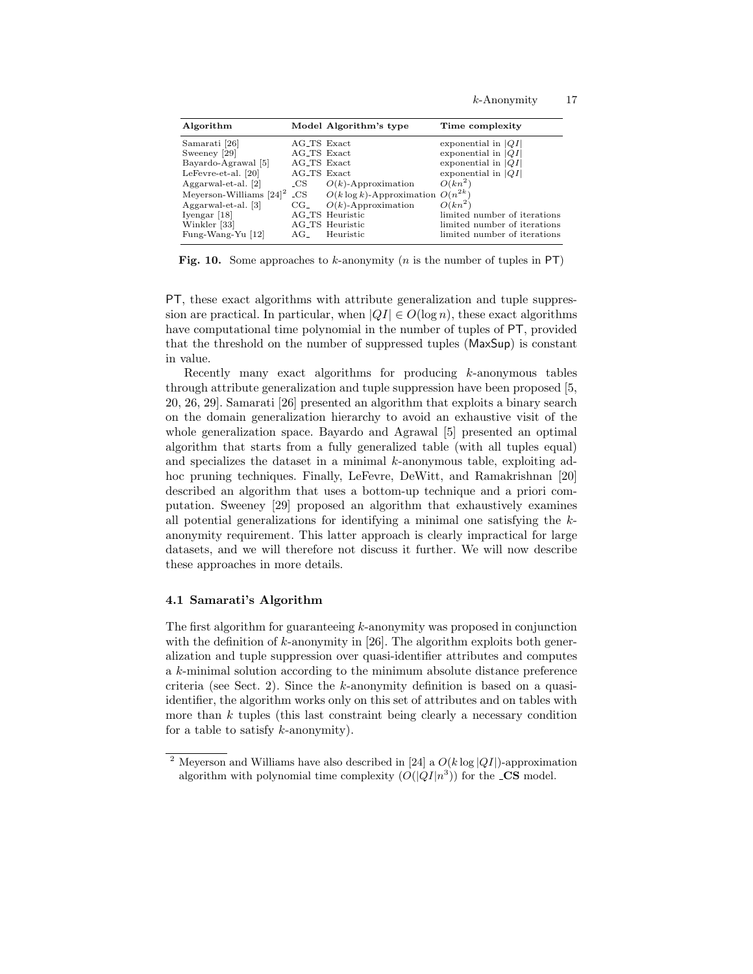| Algorithm                  |                  | Model Algorithm's type                                | Time complexity              |
|----------------------------|------------------|-------------------------------------------------------|------------------------------|
| Samarati [26]              | AG_TS Exact      |                                                       | exponential in $ QI $        |
| Sweeney [29]               | AG_TS Exact      |                                                       | exponential in $ QI $        |
| Bayardo-Agrawal [5]        | AG_TS Exact      |                                                       | exponential in $ QI $        |
| LeFevre-et-al. $[20]$      | AG_TS Exact      |                                                       | exponential in $ QI $        |
| $Aggarwal-et-al. [2]$      | $\mathcal{L}$ CS | $O(k)$ -Approximation                                 | $O(kn^2)$                    |
| Meyerson-Williams $[24]^2$ |                  | $\text{CSS}$ $O(k \log k)$ -Approximation $O(n^{2k})$ |                              |
| Aggarwal-et-al. [3]        | $CG_{-}$         | $O(k)$ -Approximation                                 | $O(kn^2)$                    |
| Ivengar $[18]$             |                  | AG_TS Heuristic                                       | limited number of iterations |
| Winkler [33]               |                  | AG_TS Heuristic                                       | limited number of iterations |
| Fung-Wang-Yu [12]          |                  | AG Heuristic                                          | limited number of iterations |

Fig. 10. Some approaches to k-anonymity (*n* is the number of tuples in  $PT$ )

PT, these exact algorithms with attribute generalization and tuple suppression are practical. In particular, when  $|QI| \in O(\log n)$ , these exact algorithms have computational time polynomial in the number of tuples of PT, provided that the threshold on the number of suppressed tuples (MaxSup) is constant in value.

Recently many exact algorithms for producing k-anonymous tables through attribute generalization and tuple suppression have been proposed [5, 20, 26, 29]. Samarati [26] presented an algorithm that exploits a binary search on the domain generalization hierarchy to avoid an exhaustive visit of the whole generalization space. Bayardo and Agrawal [5] presented an optimal algorithm that starts from a fully generalized table (with all tuples equal) and specializes the dataset in a minimal  $k$ -anonymous table, exploiting adhoc pruning techniques. Finally, LeFevre, DeWitt, and Ramakrishnan [20] described an algorithm that uses a bottom-up technique and a priori computation. Sweeney [29] proposed an algorithm that exhaustively examines all potential generalizations for identifying a minimal one satisfying the kanonymity requirement. This latter approach is clearly impractical for large datasets, and we will therefore not discuss it further. We will now describe these approaches in more details.

### 4.1 Samarati's Algorithm

The first algorithm for guaranteeing  $k$ -anonymity was proposed in conjunction with the definition of  $k$ -anonymity in [26]. The algorithm exploits both generalization and tuple suppression over quasi-identifier attributes and computes a k-minimal solution according to the minimum absolute distance preference criteria (see Sect. 2). Since the k-anonymity definition is based on a quasiidentifier, the algorithm works only on this set of attributes and on tables with more than  $k$  tuples (this last constraint being clearly a necessary condition for a table to satisfy  $k$ -anonymity).

Meyerson and Williams have also described in [24] a  $O(k \log |QI|)$ -approximation algorithm with polynomial time complexity  $(O(|QI|n^3))$  for the  $\mathbb{C}\mathbf{S}$  model.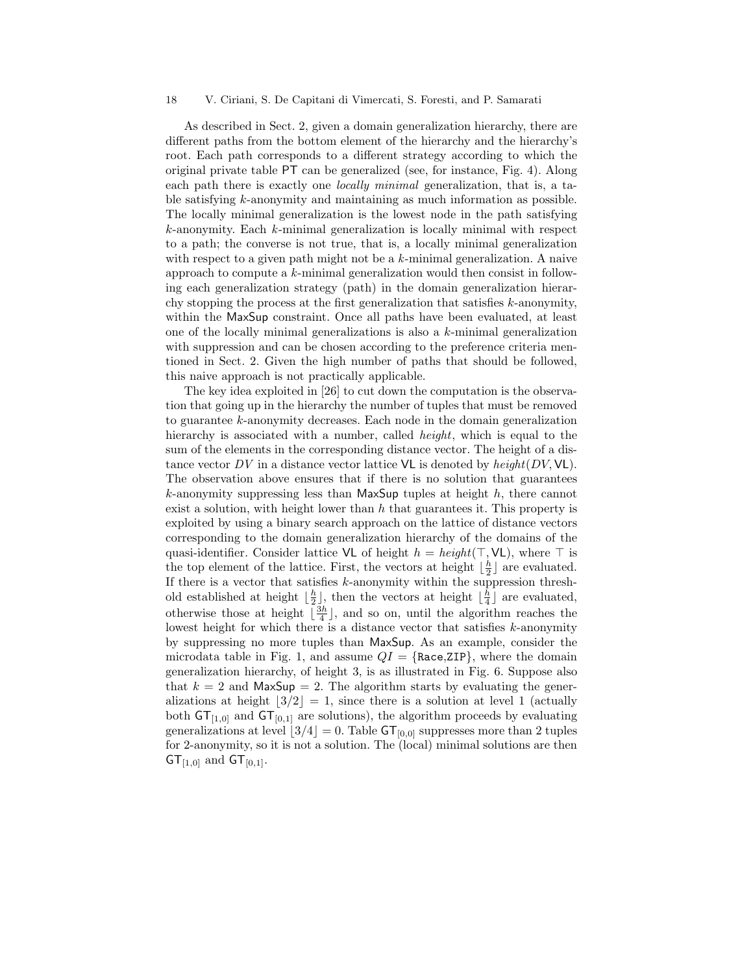As described in Sect. 2, given a domain generalization hierarchy, there are different paths from the bottom element of the hierarchy and the hierarchy's root. Each path corresponds to a different strategy according to which the original private table PT can be generalized (see, for instance, Fig. 4). Along each path there is exactly one *locally minimal* generalization, that is, a table satisfying k-anonymity and maintaining as much information as possible. The locally minimal generalization is the lowest node in the path satisfying k-anonymity. Each k-minimal generalization is locally minimal with respect to a path; the converse is not true, that is, a locally minimal generalization with respect to a given path might not be a  $k$ -minimal generalization. A naive approach to compute a k-minimal generalization would then consist in following each generalization strategy (path) in the domain generalization hierarchy stopping the process at the first generalization that satisfies  $k$ -anonymity, within the MaxSup constraint. Once all paths have been evaluated, at least one of the locally minimal generalizations is also a  $k$ -minimal generalization with suppression and can be chosen according to the preference criteria mentioned in Sect. 2. Given the high number of paths that should be followed, this naive approach is not practically applicable.

The key idea exploited in [26] to cut down the computation is the observation that going up in the hierarchy the number of tuples that must be removed to guarantee k-anonymity decreases. Each node in the domain generalization hierarchy is associated with a number, called *height*, which is equal to the sum of the elements in the corresponding distance vector. The height of a distance vector  $DV$  in a distance vector lattice  $VL$  is denoted by  $height(DV, VL)$ . The observation above ensures that if there is no solution that guarantees  $k$ -anonymity suppressing less than MaxSup tuples at height  $h$ , there cannot exist a solution, with height lower than  $h$  that guarantees it. This property is exploited by using a binary search approach on the lattice of distance vectors corresponding to the domain generalization hierarchy of the domains of the quasi-identifier. Consider lattice VL of height  $h = height(\top, V_L)$ , where  $\top$  is the top element of the lattice. First, the vectors at height  $\lfloor \frac{h}{2} \rfloor$  are evaluated. If there is a vector that satisfies  $k$ -anonymity within the suppression threshold established at height  $\lfloor \frac{h}{2} \rfloor$ , then the vectors at height  $\lfloor \frac{h}{4} \rfloor$  are evaluated, otherwise those at height  $\lfloor \frac{3h}{4} \rfloor$ , and so on, until the algorithm reaches the lowest height for which there is a distance vector that satisfies  $k$ -anonymity by suppressing no more tuples than MaxSup. As an example, consider the microdata table in Fig. 1, and assume  $QI = \{ \text{Race, ZIP} \}$ , where the domain generalization hierarchy, of height 3, is as illustrated in Fig. 6. Suppose also that  $k = 2$  and MaxSup = 2. The algorithm starts by evaluating the generalizations at height  $|3/2|=1$ , since there is a solution at level 1 (actually both  $GT_{[1,0]}$  and  $GT_{[0,1]}$  are solutions), the algorithm proceeds by evaluating generalizations at level  $\left[3/4\right] = 0$ . Table  $GT_{[0,0]}$  suppresses more than 2 tuples for 2-anonymity, so it is not a solution. The (local) minimal solutions are then  $GT_{[1,0]}$  and  $GT_{[0,1]}$ .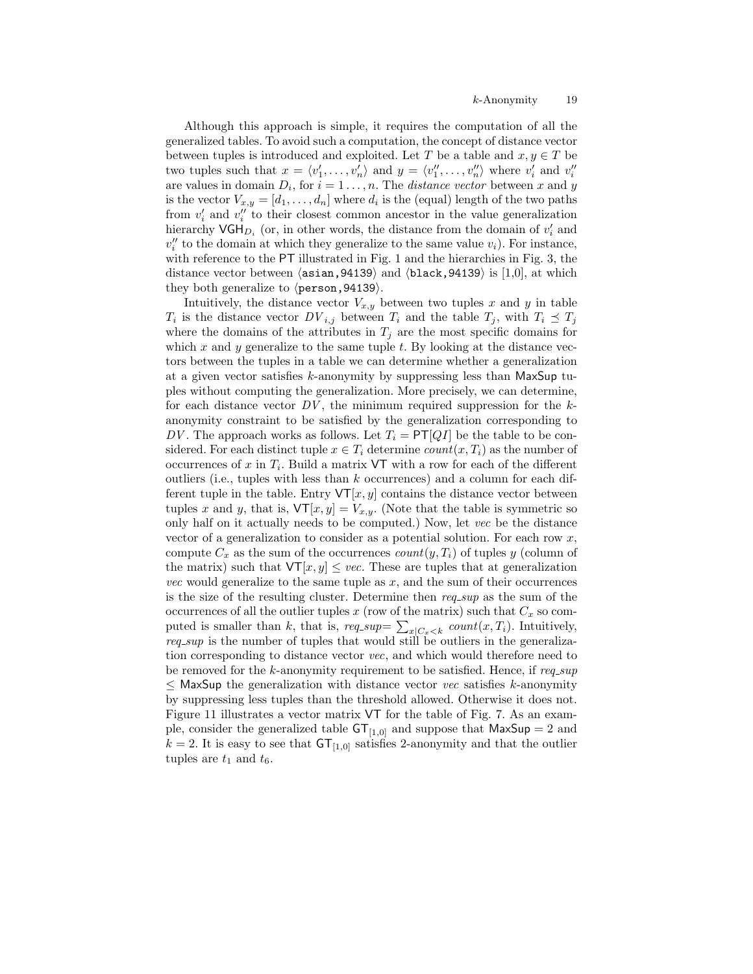Although this approach is simple, it requires the computation of all the generalized tables. To avoid such a computation, the concept of distance vector between tuples is introduced and exploited. Let T be a table and  $x, y \in T$  be two tuples such that  $x = \langle v'_1, \ldots, v'_n \rangle$  and  $y = \langle v''_1, \ldots, v''_n \rangle$  where  $v'_i$  and  $v''_i$ are values in domain  $D_i$ , for  $i = 1 \ldots, n$ . The *distance vector* between x and y is the vector  $V_{x,y} = [d_1, \ldots, d_n]$  where  $d_i$  is the (equal) length of the two paths from  $v_i'$  and  $v_i''$  to their closest common ancestor in the value generalization hierarchy  $\mathsf{VGH}_{D_i}$  (or, in other words, the distance from the domain of  $v_i'$  and  $v_i''$  to the domain at which they generalize to the same value  $v_i$ ). For instance, with reference to the PT illustrated in Fig. 1 and the hierarchies in Fig. 3, the distance vector between  $\langle$ asian,94139 $\rangle$  and  $\langle$ black,94139 $\rangle$  is [1,0], at which they both generalize to  $\langle \text{person},94139 \rangle$ .

Intuitively, the distance vector  $V_{x,y}$  between two tuples x and y in table  $T_i$  is the distance vector  $DV_{i,j}$  between  $T_i$  and the table  $T_j$ , with  $T_i \preceq T_j$ where the domains of the attributes in  $T_i$  are the most specific domains for which x and y generalize to the same tuple t. By looking at the distance vectors between the tuples in a table we can determine whether a generalization at a given vector satisfies k-anonymity by suppressing less than MaxSup tuples without computing the generalization. More precisely, we can determine, for each distance vector  $DV$ , the minimum required suppression for the  $k$ anonymity constraint to be satisfied by the generalization corresponding to DV. The approach works as follows. Let  $T_i = \text{PT}[QI]$  be the table to be considered. For each distinct tuple  $x \in T_i$  determine  $count(x, T_i)$  as the number of occurrences of x in  $T_i$ . Build a matrix  $\forall \mathsf{T}$  with a row for each of the different outliers (i.e., tuples with less than  $k$  occurrences) and a column for each different tuple in the table. Entry  $\mathsf{VT}[x, y]$  contains the distance vector between tuples x and y, that is,  $\nabla T[x, y] = V_{x,y}$ . (Note that the table is symmetric so only half on it actually needs to be computed.) Now, let vec be the distance vector of a generalization to consider as a potential solution. For each row  $x$ , compute  $C_x$  as the sum of the occurrences  $count(y, T_i)$  of tuples y (column of the matrix) such that  $\mathsf{VT}[x, y] \leq vec$ . These are tuples that at generalization vec would generalize to the same tuple as  $x$ , and the sum of their occurrences is the size of the resulting cluster. Determine then  $req\_sup$  as the sum of the occurrences of all the outlier tuples x (row of the matrix) such that  $C_x$  so computed is smaller than k, that is,  $req\_sup = \sum_{x|C_x < k} count(x, T_i)$ . Intuitively,  $req\_sup$  is the number of tuples that would still be outliers in the generalization corresponding to distance vector vec, and which would therefore need to be removed for the  $k$ -anonymity requirement to be satisfied. Hence, if  $req\_sup$  $\leq$  MaxSup the generalization with distance vector vec satisfies k-anonymity by suppressing less tuples than the threshold allowed. Otherwise it does not. Figure 11 illustrates a vector matrix VT for the table of Fig. 7. As an example, consider the generalized table  $GT_{[1,0]}$  and suppose that MaxSup = 2 and  $k = 2$ . It is easy to see that  $GT_{[1,0]}$  satisfies 2-anonymity and that the outlier tuples are  $t_1$  and  $t_6$ .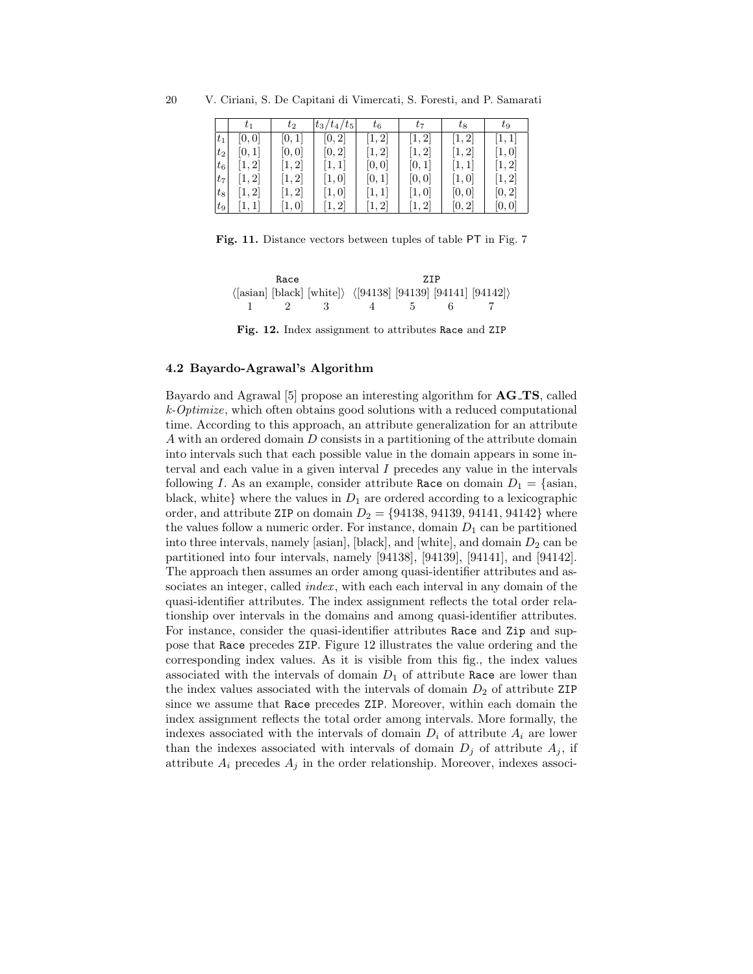|       | $\tau_1$ | $\scriptstyle t_2$ | $ t_3/t_4/t_5 $ | $\tau_6$ | $\tau$ | $t_{8}$ | τ9     |
|-------|----------|--------------------|-----------------|----------|--------|---------|--------|
| $t_1$ | [0, 0]   | [0, 1]             | [0, 2]          | [1, 2]   | [1, 2] | [1, 2]  | [1, 1] |
| $t_2$ | [0, 1]   | [0,0]              | [0, 2]          | [1,2]    | [1, 2] | [1, 2]  | [1,0]  |
| $t_6$ | [1, 2]   | [1, 2]             | [1, 1]          | [0, 0]   | [0, 1] | [1, 1]  | [1, 2] |
| $t_7$ | [1, 2]   | [1, 2]             | [1,0]           | [0, 1]   | [0, 0] | [1, 0]  | [1, 2] |
| $t_8$ | [1, 2]   | [1, 2]             | [1,0]           | [1, 1]   | [1, 0] | [0, 0]  | [0,2]  |
| t9    |          | [1,0]              | [1, 2]          | [1, 2]   | [1, 2] | [0, 2]  | [0, 0] |

20 V. Ciriani, S. De Capitani di Vimercati, S. Foresti, and P. Samarati

Fig. 11. Distance vectors between tuples of table PT in Fig. 7

| Race |                                                                                                 | 7.TP |  |
|------|-------------------------------------------------------------------------------------------------|------|--|
|      | $\langle$ [asian] [black] [white] $\rangle$ $\langle$ [94138] [94139] [94141] [94142] $\rangle$ |      |  |
|      | 2 3 4 5 6 7                                                                                     |      |  |

Fig. 12. Index assignment to attributes Race and ZIP

### 4.2 Bayardo-Agrawal's Algorithm

Bayardo and Agrawal [5] propose an interesting algorithm for AG TS, called k-Optimize, which often obtains good solutions with a reduced computational time. According to this approach, an attribute generalization for an attribute A with an ordered domain D consists in a partitioning of the attribute domain into intervals such that each possible value in the domain appears in some interval and each value in a given interval  $I$  precedes any value in the intervals following I. As an example, consider attribute Race on domain  $D_1 = \{ \text{asian},$ black, white} where the values in  $D_1$  are ordered according to a lexicographic order, and attribute ZIP on domain  $D_2 = \{94138, 94139, 94141, 94142\}$  where the values follow a numeric order. For instance, domain  $D_1$  can be partitioned into three intervals, namely [asian], [black], and [white], and domain  $D_2$  can be partitioned into four intervals, namely [94138], [94139], [94141], and [94142]. The approach then assumes an order among quasi-identifier attributes and associates an integer, called *index*, with each each interval in any domain of the quasi-identifier attributes. The index assignment reflects the total order relationship over intervals in the domains and among quasi-identifier attributes. For instance, consider the quasi-identifier attributes Race and Zip and suppose that Race precedes ZIP. Figure 12 illustrates the value ordering and the corresponding index values. As it is visible from this fig., the index values associated with the intervals of domain  $D_1$  of attribute Race are lower than the index values associated with the intervals of domain  $D_2$  of attribute ZIP since we assume that Race precedes ZIP. Moreover, within each domain the index assignment reflects the total order among intervals. More formally, the indexes associated with the intervals of domain  $D_i$  of attribute  $A_i$  are lower than the indexes associated with intervals of domain  $D_j$  of attribute  $A_j$ , if attribute  $A_i$  precedes  $A_j$  in the order relationship. Moreover, indexes associ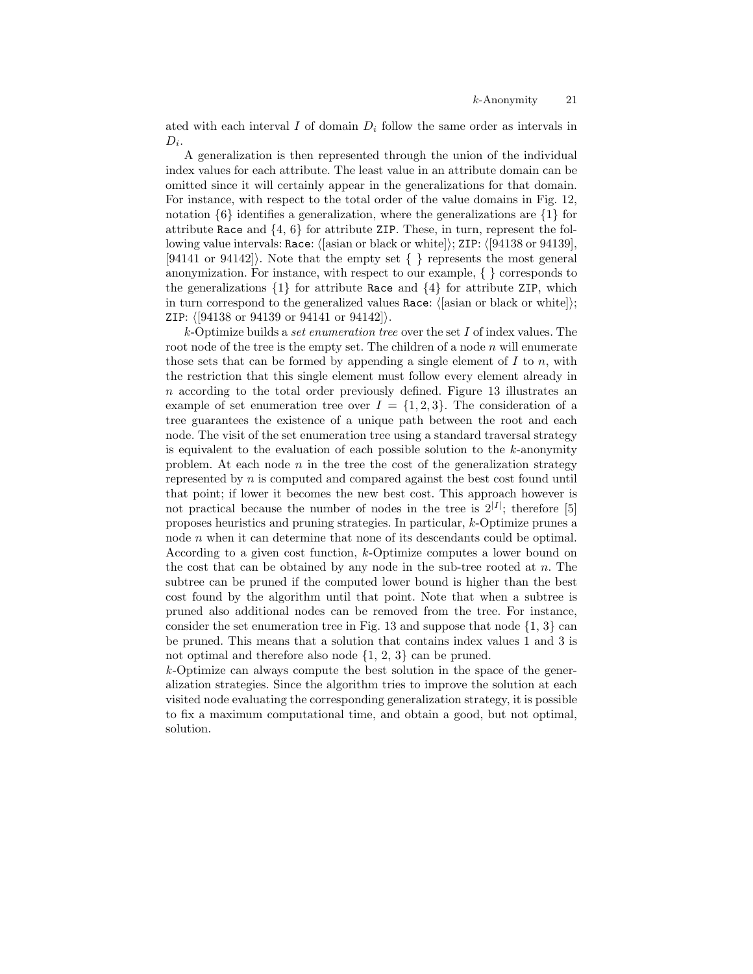ated with each interval I of domain  $D_i$  follow the same order as intervals in  $D_i$ .

A generalization is then represented through the union of the individual index values for each attribute. The least value in an attribute domain can be omitted since it will certainly appear in the generalizations for that domain. For instance, with respect to the total order of the value domains in Fig. 12, notation  $\{6\}$  identifies a generalization, where the generalizations are  $\{1\}$  for attribute Race and  $\{4, 6\}$  for attribute ZIP. These, in turn, represent the following value intervals: Race:  $\langle$ [asian or black or white]); ZIP:  $\langle$ [94138 or 94139], [94141 or 94142]). Note that the empty set  $\{\}$  represents the most general anonymization. For instance, with respect to our example, { } corresponds to the generalizations  $\{1\}$  for attribute Race and  $\{4\}$  for attribute ZIP, which in turn correspond to the generalized values Race:  $\langle$ [asian or black or white]); ZIP:  $\langle [94138 \text{ or } 94139 \text{ or } 94141 \text{ or } 94142] \rangle$ .

 $k$ -Optimize builds a set enumeration tree over the set  $I$  of index values. The root node of the tree is the empty set. The children of a node  $n$  will enumerate those sets that can be formed by appending a single element of  $I$  to  $n$ , with the restriction that this single element must follow every element already in  $n$  according to the total order previously defined. Figure 13 illustrates an example of set enumeration tree over  $I = \{1, 2, 3\}$ . The consideration of a tree guarantees the existence of a unique path between the root and each node. The visit of the set enumeration tree using a standard traversal strategy is equivalent to the evaluation of each possible solution to the  $k$ -anonymity problem. At each node  $n$  in the tree the cost of the generalization strategy represented by  $n$  is computed and compared against the best cost found until that point; if lower it becomes the new best cost. This approach however is not practical because the number of nodes in the tree is  $2^{|I|}$ ; therefore [5] proposes heuristics and pruning strategies. In particular, k-Optimize prunes a node *n* when it can determine that none of its descendants could be optimal. According to a given cost function, k-Optimize computes a lower bound on the cost that can be obtained by any node in the sub-tree rooted at n. The subtree can be pruned if the computed lower bound is higher than the best cost found by the algorithm until that point. Note that when a subtree is pruned also additional nodes can be removed from the tree. For instance, consider the set enumeration tree in Fig. 13 and suppose that node  $\{1, 3\}$  can be pruned. This means that a solution that contains index values 1 and 3 is not optimal and therefore also node {1, 2, 3} can be pruned.

k-Optimize can always compute the best solution in the space of the generalization strategies. Since the algorithm tries to improve the solution at each visited node evaluating the corresponding generalization strategy, it is possible to fix a maximum computational time, and obtain a good, but not optimal, solution.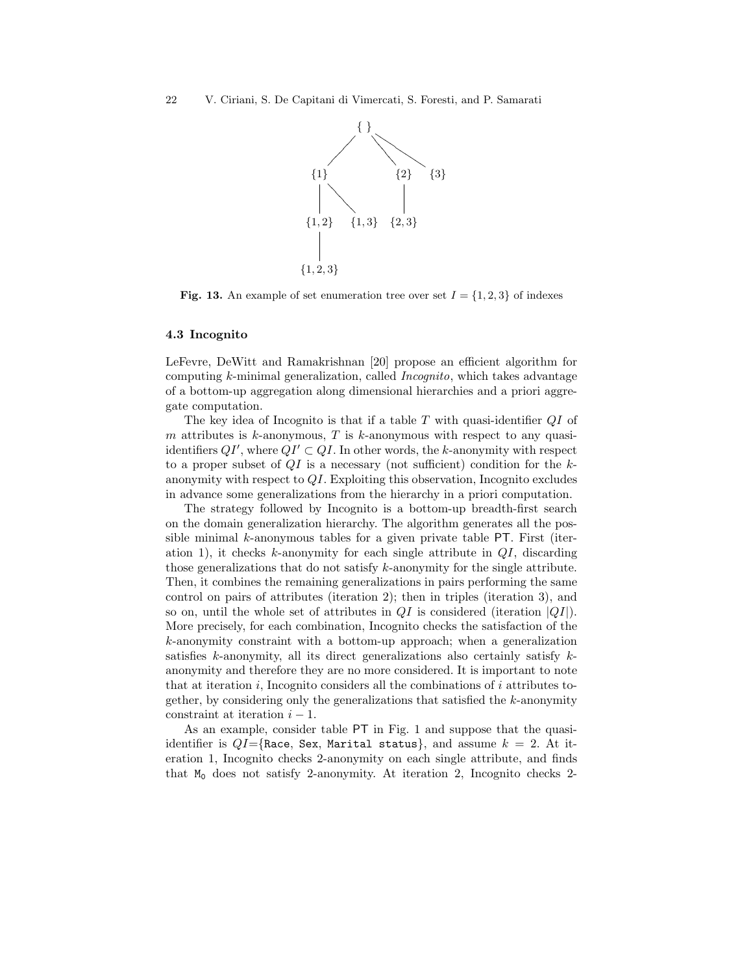

Fig. 13. An example of set enumeration tree over set  $I = \{1, 2, 3\}$  of indexes

### 4.3 Incognito

LeFevre, DeWitt and Ramakrishnan [20] propose an efficient algorithm for computing k-minimal generalization, called Incognito, which takes advantage of a bottom-up aggregation along dimensional hierarchies and a priori aggregate computation.

The key idea of Incognito is that if a table  $T$  with quasi-identifier  $QI$  of m attributes is k-anonymous, T is k-anonymous with respect to any quasiidentifiers  $QI'$ , where  $QI' \subset QI$ . In other words, the k-anonymity with respect to a proper subset of  $QI$  is a necessary (not sufficient) condition for the  $k$ anonymity with respect to  $QI$ . Exploiting this observation, Incognito excludes in advance some generalizations from the hierarchy in a priori computation.

The strategy followed by Incognito is a bottom-up breadth-first search on the domain generalization hierarchy. The algorithm generates all the possible minimal  $k$ -anonymous tables for a given private table  $PT$ . First (iteration 1), it checks k-anonymity for each single attribute in  $QI$ , discarding those generalizations that do not satisfy k-anonymity for the single attribute. Then, it combines the remaining generalizations in pairs performing the same control on pairs of attributes (iteration 2); then in triples (iteration 3), and so on, until the whole set of attributes in  $QI$  is considered (iteration  $|QI|$ ). More precisely, for each combination, Incognito checks the satisfaction of the k-anonymity constraint with a bottom-up approach; when a generalization satisfies  $k$ -anonymity, all its direct generalizations also certainly satisfy  $k$ anonymity and therefore they are no more considered. It is important to note that at iteration  $i$ , Incognito considers all the combinations of  $i$  attributes together, by considering only the generalizations that satisfied the k-anonymity constraint at iteration  $i - 1$ .

As an example, consider table PT in Fig. 1 and suppose that the quasiidentifier is  $QI = \{$ Race, Sex, Marital status}, and assume  $k = 2$ . At iteration 1, Incognito checks 2-anonymity on each single attribute, and finds that  $M_0$  does not satisfy 2-anonymity. At iteration 2, Incognito checks 2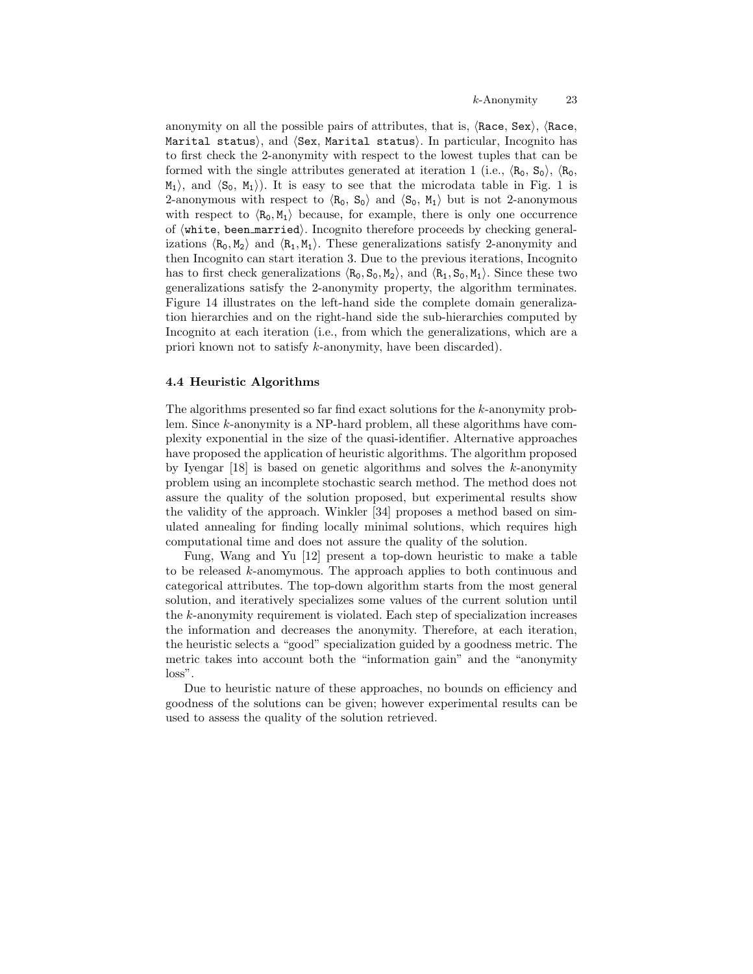anonymity on all the possible pairs of attributes, that is,  $\langle$ Race, Sex $\rangle$ ,  $\langle$ Race, Marital status), and  $\langle$ Sex, Marital status). In particular, Incognito has to first check the 2-anonymity with respect to the lowest tuples that can be formed with the single attributes generated at iteration 1 (i.e.,  $\langle R_0, S_0 \rangle$ ,  $\langle R_0,$  $M_1$ , and  $\langle S_0, M_1 \rangle$ . It is easy to see that the microdata table in Fig. 1 is 2-anonymous with respect to  $\langle R_0, S_0 \rangle$  and  $\langle S_0, M_1 \rangle$  but is not 2-anonymous with respect to  $\langle R_0, M_1 \rangle$  because, for example, there is only one occurrence of (white, been married). Incognito therefore proceeds by checking generalizations  $\langle R_0, M_2 \rangle$  and  $\langle R_1, M_1 \rangle$ . These generalizations satisfy 2-anonymity and then Incognito can start iteration 3. Due to the previous iterations, Incognito has to first check generalizations  $\langle R_0, S_0, M_2 \rangle$ , and  $\langle R_1, S_0, M_1 \rangle$ . Since these two generalizations satisfy the 2-anonymity property, the algorithm terminates. Figure 14 illustrates on the left-hand side the complete domain generalization hierarchies and on the right-hand side the sub-hierarchies computed by Incognito at each iteration (i.e., from which the generalizations, which are a priori known not to satisfy k-anonymity, have been discarded).

#### 4.4 Heuristic Algorithms

The algorithms presented so far find exact solutions for the  $k$ -anonymity problem. Since k-anonymity is a NP-hard problem, all these algorithms have complexity exponential in the size of the quasi-identifier. Alternative approaches have proposed the application of heuristic algorithms. The algorithm proposed by Iyengar  $[18]$  is based on genetic algorithms and solves the k-anonymity problem using an incomplete stochastic search method. The method does not assure the quality of the solution proposed, but experimental results show the validity of the approach. Winkler [34] proposes a method based on simulated annealing for finding locally minimal solutions, which requires high computational time and does not assure the quality of the solution.

Fung, Wang and Yu [12] present a top-down heuristic to make a table to be released k-anomymous. The approach applies to both continuous and categorical attributes. The top-down algorithm starts from the most general solution, and iteratively specializes some values of the current solution until the k-anonymity requirement is violated. Each step of specialization increases the information and decreases the anonymity. Therefore, at each iteration, the heuristic selects a "good" specialization guided by a goodness metric. The metric takes into account both the "information gain" and the "anonymity loss".

Due to heuristic nature of these approaches, no bounds on efficiency and goodness of the solutions can be given; however experimental results can be used to assess the quality of the solution retrieved.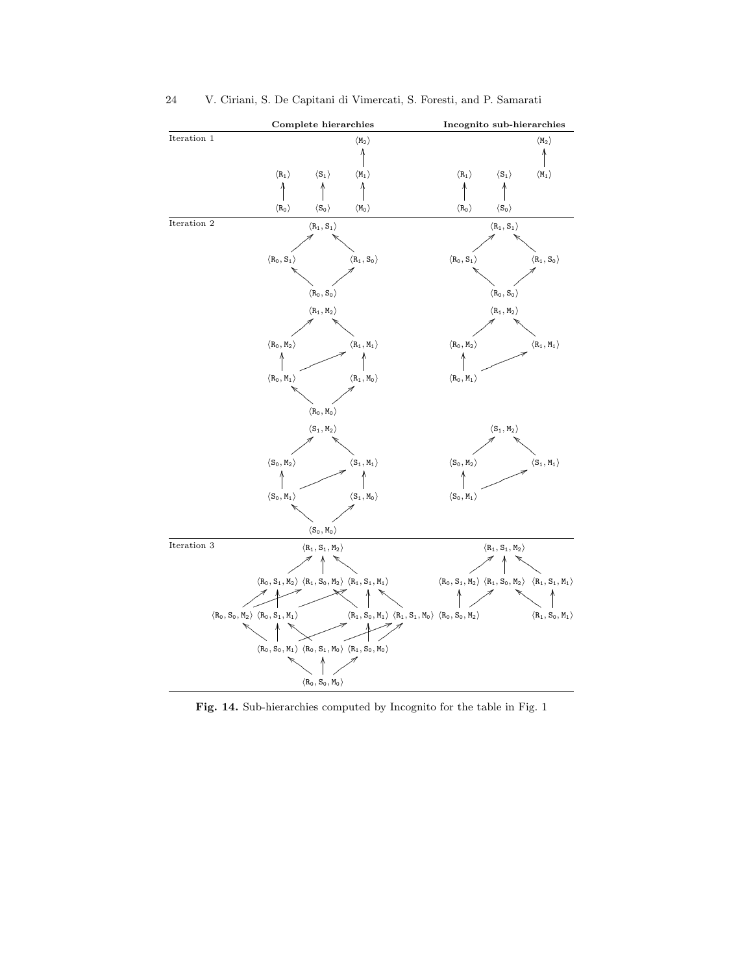

24 V. Ciriani, S. De Capitani di Vimercati, S. Foresti, and P. Samarati

Fig. 14. Sub-hierarchies computed by Incognito for the table in Fig. 1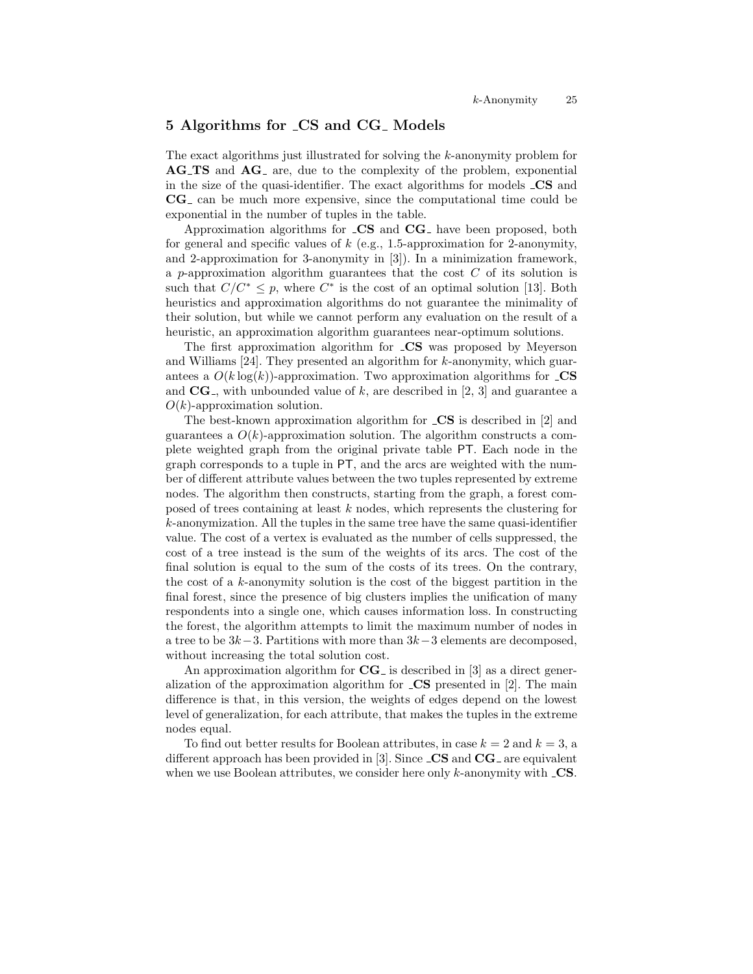## 5 Algorithms for \_CS and CG\_ Models

The exact algorithms just illustrated for solving the k-anonymity problem for AG\_TS and AG\_ are, due to the complexity of the problem, exponential in the size of the quasi-identifier. The exact algorithms for models CS and CG can be much more expensive, since the computational time could be exponential in the number of tuples in the table.

Approximation algorithms for  $\mathbb{C}\mathbf{S}$  and  $\mathbb{C}\mathbf{G}_-$  have been proposed, both for general and specific values of  $k$  (e.g., 1.5-approximation for 2-anonymity, and 2-approximation for 3-anonymity in [3]). In a minimization framework, a p-approximation algorithm guarantees that the cost  $C$  of its solution is such that  $C/C^* \leq p$ , where  $C^*$  is the cost of an optimal solution [13]. Both heuristics and approximation algorithms do not guarantee the minimality of their solution, but while we cannot perform any evaluation on the result of a heuristic, an approximation algorithm guarantees near-optimum solutions.

The first approximation algorithm for CS was proposed by Meyerson and Williams  $[24]$ . They presented an algorithm for k-anonymity, which guarantees a  $O(k \log(k))$ -approximation. Two approximation algorithms for  $\mathbb{C}\mathbf{S}$ and  $CG_{-}$ , with unbounded value of k, are described in [2, 3] and guarantee a  $O(k)$ -approximation solution.

The best-known approximation algorithm for  $\mathbb{C}\mathbf{S}$  is described in [2] and guarantees a  $O(k)$ -approximation solution. The algorithm constructs a complete weighted graph from the original private table PT. Each node in the graph corresponds to a tuple in PT, and the arcs are weighted with the number of different attribute values between the two tuples represented by extreme nodes. The algorithm then constructs, starting from the graph, a forest composed of trees containing at least  $k$  nodes, which represents the clustering for k-anonymization. All the tuples in the same tree have the same quasi-identifier value. The cost of a vertex is evaluated as the number of cells suppressed, the cost of a tree instead is the sum of the weights of its arcs. The cost of the final solution is equal to the sum of the costs of its trees. On the contrary, the cost of a  $k$ -anonymity solution is the cost of the biggest partition in the final forest, since the presence of big clusters implies the unification of many respondents into a single one, which causes information loss. In constructing the forest, the algorithm attempts to limit the maximum number of nodes in a tree to be  $3k-3$ . Partitions with more than  $3k-3$  elements are decomposed, without increasing the total solution cost.

An approximation algorithm for  $CG<sub>-</sub>$  is described in [3] as a direct generalization of the approximation algorithm for  $\mathbb{C}\mathbf{S}$  presented in [2]. The main difference is that, in this version, the weights of edges depend on the lowest level of generalization, for each attribute, that makes the tuples in the extreme nodes equal.

To find out better results for Boolean attributes, in case  $k = 2$  and  $k = 3$ , a different approach has been provided in  $[3]$ . Since  $\mathbb{C}\mathbf{S}$  and  $\mathbb{C}\mathbf{G}_-$  are equivalent when we use Boolean attributes, we consider here only  $k$ -anonymity with  $\mathsf{C}S$ .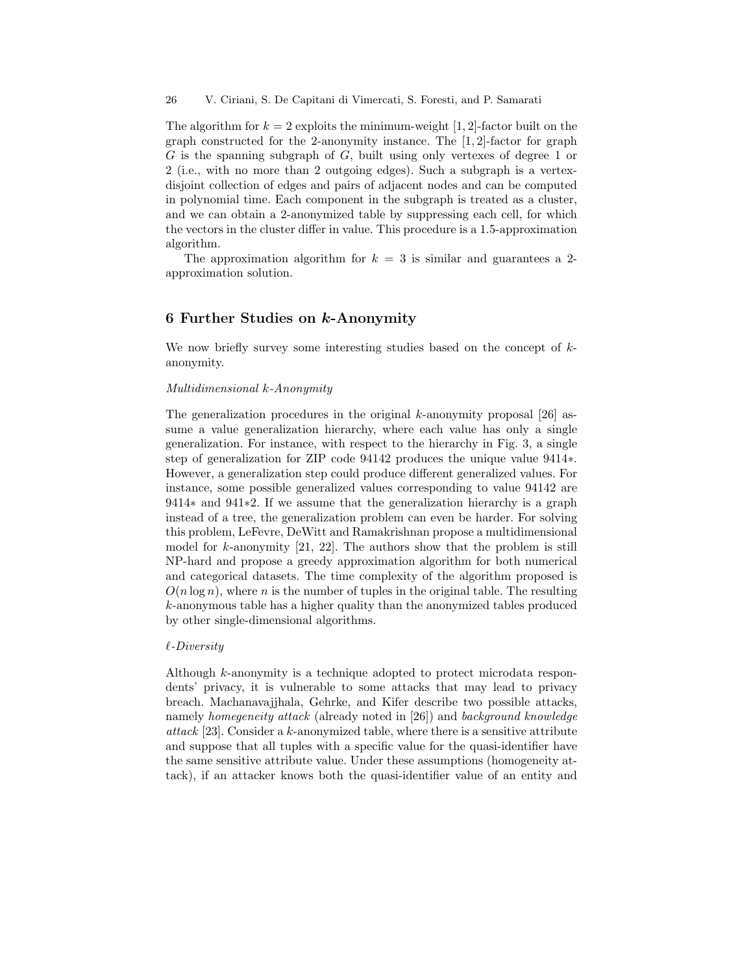The algorithm for  $k = 2$  exploits the minimum-weight [1, 2]-factor built on the graph constructed for the 2-anonymity instance. The [1, 2]-factor for graph  $G$  is the spanning subgraph of  $G$ , built using only vertexes of degree 1 or 2 (i.e., with no more than 2 outgoing edges). Such a subgraph is a vertexdisjoint collection of edges and pairs of adjacent nodes and can be computed in polynomial time. Each component in the subgraph is treated as a cluster, and we can obtain a 2-anonymized table by suppressing each cell, for which the vectors in the cluster differ in value. This procedure is a 1.5-approximation algorithm.

The approximation algorithm for  $k = 3$  is similar and guarantees a 2approximation solution.

### 6 Further Studies on k-Anonymity

We now briefly survey some interesting studies based on the concept of  $k$ anonymity.

#### Multidimensional k-Anonymity

The generalization procedures in the original k-anonymity proposal [26] assume a value generalization hierarchy, where each value has only a single generalization. For instance, with respect to the hierarchy in Fig. 3, a single step of generalization for ZIP code 94142 produces the unique value 9414∗. However, a generalization step could produce different generalized values. For instance, some possible generalized values corresponding to value 94142 are 9414∗ and 941∗2. If we assume that the generalization hierarchy is a graph instead of a tree, the generalization problem can even be harder. For solving this problem, LeFevre, DeWitt and Ramakrishnan propose a multidimensional model for  $k$ -anonymity [21, 22]. The authors show that the problem is still NP-hard and propose a greedy approximation algorithm for both numerical and categorical datasets. The time complexity of the algorithm proposed is  $O(n \log n)$ , where n is the number of tuples in the original table. The resulting k-anonymous table has a higher quality than the anonymized tables produced by other single-dimensional algorithms.

#### $\ell$ -Diversity

Although k-anonymity is a technique adopted to protect microdata respondents' privacy, it is vulnerable to some attacks that may lead to privacy breach. Machanavajjhala, Gehrke, and Kifer describe two possible attacks, namely homegeneity attack (already noted in [26]) and background knowledge attack [23]. Consider a k-anonymized table, where there is a sensitive attribute and suppose that all tuples with a specific value for the quasi-identifier have the same sensitive attribute value. Under these assumptions (homogeneity attack), if an attacker knows both the quasi-identifier value of an entity and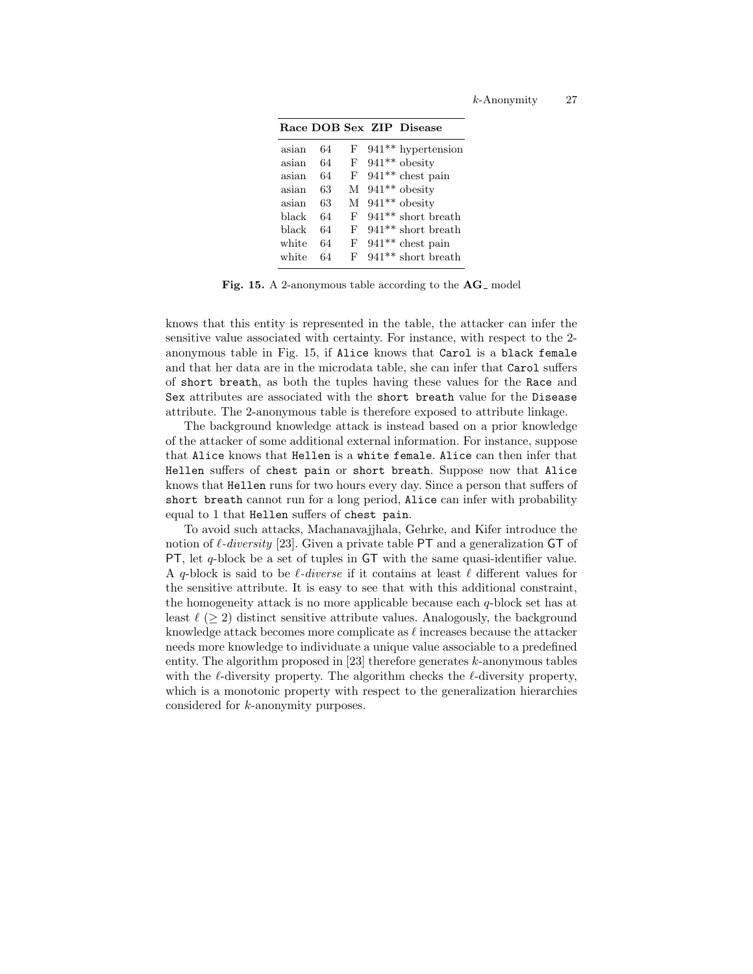|       |    |   | Race DOB Sex ZIP Disease |
|-------|----|---|--------------------------|
| asian | 64 | F | 941** hypertension       |
| asian | 64 | F | $941**$ obesity          |
| asian | 64 | F | $941**$ chest pain       |
| asian | 63 | М | $941**$ obesity          |
| asian | 63 | М | $941**$ obesity          |
| black | 64 | F | $941**$ short breath     |
| black | 64 | F | $941**$ short breath     |
| white | 64 | F | $941**$ chest pain       |
| white | 64 | F | $941**$ short breath     |
|       |    |   |                          |

Fig. 15. A 2-anonymous table according to the  $AG$  model

knows that this entity is represented in the table, the attacker can infer the sensitive value associated with certainty. For instance, with respect to the 2 anonymous table in Fig. 15, if Alice knows that Carol is a black female and that her data are in the microdata table, she can infer that Carol suffers of short breath, as both the tuples having these values for the Race and Sex attributes are associated with the short breath value for the Disease attribute. The 2-anonymous table is therefore exposed to attribute linkage.

The background knowledge attack is instead based on a prior knowledge of the attacker of some additional external information. For instance, suppose that Alice knows that Hellen is a white female. Alice can then infer that Hellen suffers of chest pain or short breath. Suppose now that Alice knows that Hellen runs for two hours every day. Since a person that suffers of short breath cannot run for a long period, Alice can infer with probability equal to 1 that Hellen suffers of chest pain.

To avoid such attacks, Machanavajjhala, Gehrke, and Kifer introduce the notion of  $\ell$ -diversity [23]. Given a private table PT and a generalization GT of PT, let  $q$ -block be a set of tuples in GT with the same quasi-identifier value. A q-block is said to be  $\ell$ -diverse if it contains at least  $\ell$  different values for the sensitive attribute. It is easy to see that with this additional constraint, the homogeneity attack is no more applicable because each  $q$ -block set has at least  $\ell$  ( $> 2$ ) distinct sensitive attribute values. Analogously, the background knowledge attack becomes more complicate as  $\ell$  increases because the attacker needs more knowledge to individuate a unique value associable to a predefined entity. The algorithm proposed in  $[23]$  therefore generates k-anonymous tables with the  $\ell$ -diversity property. The algorithm checks the  $\ell$ -diversity property, which is a monotonic property with respect to the generalization hierarchies considered for k-anonymity purposes.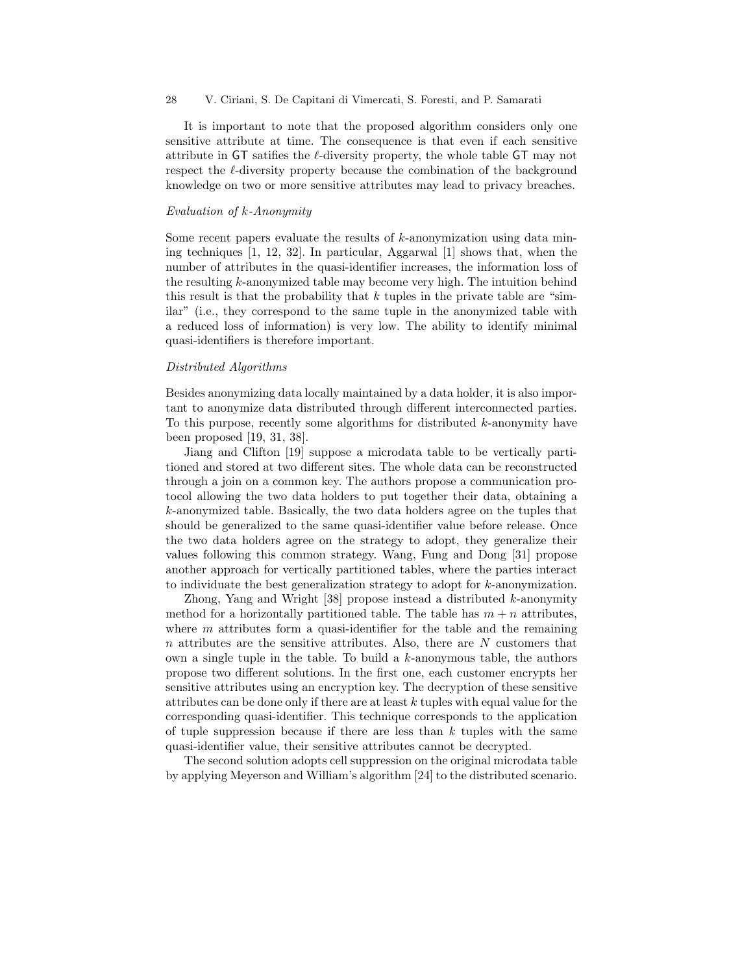It is important to note that the proposed algorithm considers only one sensitive attribute at time. The consequence is that even if each sensitive attribute in  $GT$  satifies the  $\ell$ -diversity property, the whole table  $GT$  may not respect the  $\ell$ -diversity property because the combination of the background knowledge on two or more sensitive attributes may lead to privacy breaches.

#### Evaluation of k-Anonymity

Some recent papers evaluate the results of  $k$ -anonymization using data mining techniques  $[1, 12, 32]$ . In particular, Aggarwal  $[1]$  shows that, when the number of attributes in the quasi-identifier increases, the information loss of the resulting  $k$ -anonymized table may become very high. The intuition behind this result is that the probability that  $k$  tuples in the private table are "similar" (i.e., they correspond to the same tuple in the anonymized table with a reduced loss of information) is very low. The ability to identify minimal quasi-identifiers is therefore important.

### Distributed Algorithms

Besides anonymizing data locally maintained by a data holder, it is also important to anonymize data distributed through different interconnected parties. To this purpose, recently some algorithms for distributed  $k$ -anonymity have been proposed [19, 31, 38].

Jiang and Clifton [19] suppose a microdata table to be vertically partitioned and stored at two different sites. The whole data can be reconstructed through a join on a common key. The authors propose a communication protocol allowing the two data holders to put together their data, obtaining a k-anonymized table. Basically, the two data holders agree on the tuples that should be generalized to the same quasi-identifier value before release. Once the two data holders agree on the strategy to adopt, they generalize their values following this common strategy. Wang, Fung and Dong [31] propose another approach for vertically partitioned tables, where the parties interact to individuate the best generalization strategy to adopt for k-anonymization.

Zhong, Yang and Wright [38] propose instead a distributed k-anonymity method for a horizontally partitioned table. The table has  $m + n$  attributes, where  $m$  attributes form a quasi-identifier for the table and the remaining n attributes are the sensitive attributes. Also, there are N customers that own a single tuple in the table. To build a  $k$ -anonymous table, the authors propose two different solutions. In the first one, each customer encrypts her sensitive attributes using an encryption key. The decryption of these sensitive attributes can be done only if there are at least  $k$  tuples with equal value for the corresponding quasi-identifier. This technique corresponds to the application of tuple suppression because if there are less than  $k$  tuples with the same quasi-identifier value, their sensitive attributes cannot be decrypted.

The second solution adopts cell suppression on the original microdata table by applying Meyerson and William's algorithm [24] to the distributed scenario.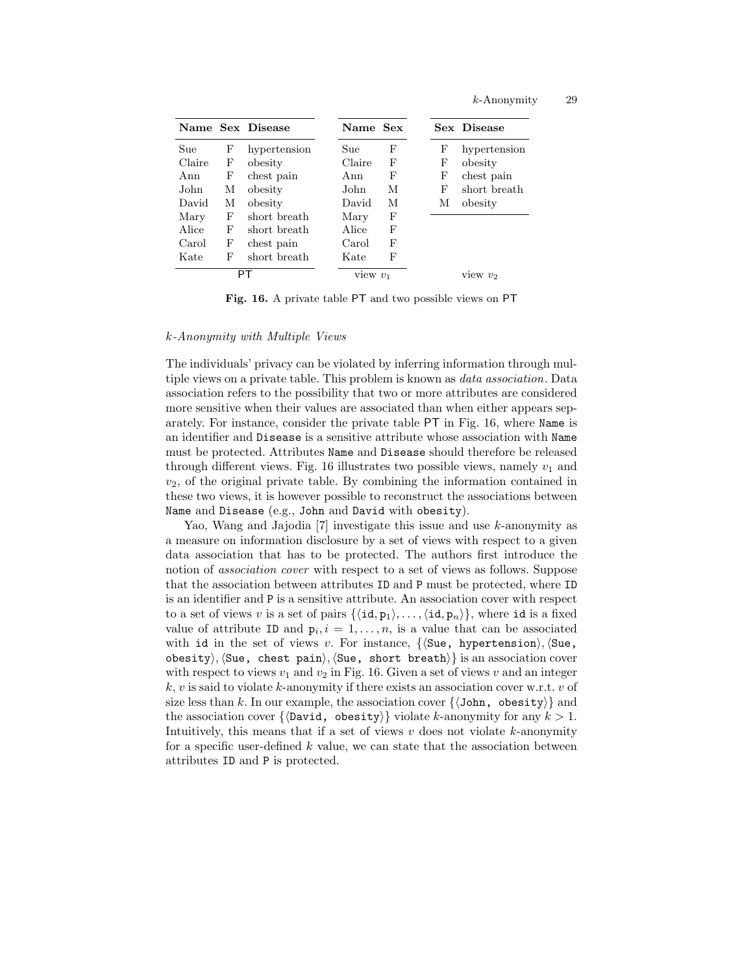|        |   | Name Sex Disease | Name Sex   |   |   | Sex Disease  |
|--------|---|------------------|------------|---|---|--------------|
| Sue    | F | hypertension     | Sue        | F | F | hypertension |
| Claire | F | obesity          | Claire     | F | F | obesity      |
| Ann    | F | chest pain       | Ann        | F | F | chest pain   |
| John   | М | obesity          | John       | М | F | short breath |
| David  | M | obesity          | David      | М | М | obesity      |
| Mary   | F | short breath     | Mary       | F |   |              |
| Alice  | F | short breath     | Alice      | F |   |              |
| Carol  | F | chest pain       | Carol      | F |   |              |
| Kate   | F | short breath     | Kate       | F |   |              |
|        |   | PТ               | view $v_1$ |   |   | view $v_2$   |

Fig. 16. A private table PT and two possible views on PT

### k-Anonymity with Multiple Views

The individuals' privacy can be violated by inferring information through multiple views on a private table. This problem is known as data association. Data association refers to the possibility that two or more attributes are considered more sensitive when their values are associated than when either appears separately. For instance, consider the private table PT in Fig. 16, where Name is an identifier and Disease is a sensitive attribute whose association with Name must be protected. Attributes Name and Disease should therefore be released through different views. Fig. 16 illustrates two possible views, namely  $v_1$  and  $v_2$ , of the original private table. By combining the information contained in these two views, it is however possible to reconstruct the associations between Name and Disease (e.g., John and David with obesity).

Yao, Wang and Jajodia [7] investigate this issue and use k-anonymity as a measure on information disclosure by a set of views with respect to a given data association that has to be protected. The authors first introduce the notion of *association cover* with respect to a set of views as follows. Suppose that the association between attributes ID and P must be protected, where ID is an identifier and P is a sensitive attribute. An association cover with respect to a set of views v is a set of pairs  $\{\langle id, p_1 \rangle, \ldots, \langle id, p_n \rangle\}$ , where id is a fixed value of attribute ID and  $p_i, i = 1, \ldots, n$ , is a value that can be associated with id in the set of views v. For instance,  $\{\langle \text{Sue, hypertension}\rangle, \langle \text{Sue,}$ obesity),  $\langle Sue, \text{ chest pain} \rangle$ ,  $\langle Sue, \text{ short breath} \rangle$  is an association cover with respect to views  $v_1$  and  $v_2$  in Fig. 16. Given a set of views v and an integer  $k, v$  is said to violate k-anonymity if there exists an association cover w.r.t. v of size less than k. In our example, the association cover  $\{\langle John, obesity \rangle\}$  and the association cover  $\{\langle \text{David, obesity} \rangle\}$  violate k-anonymity for any  $k > 1$ . Intuitively, this means that if a set of views  $v$  does not violate  $k$ -anonymity for a specific user-defined  $k$  value, we can state that the association between attributes ID and P is protected.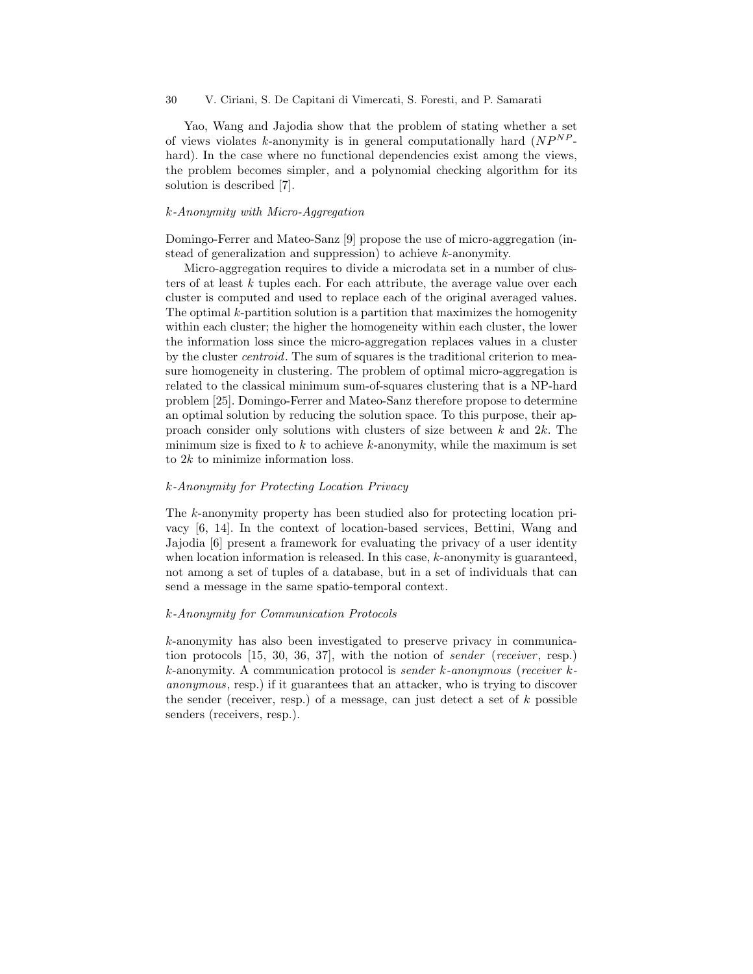Yao, Wang and Jajodia show that the problem of stating whether a set of views violates k-anonymity is in general computationally hard  $(NP^{NP}$ hard). In the case where no functional dependencies exist among the views, the problem becomes simpler, and a polynomial checking algorithm for its solution is described [7].

### k-Anonymity with Micro-Aggregation

Domingo-Ferrer and Mateo-Sanz [9] propose the use of micro-aggregation (instead of generalization and suppression) to achieve k-anonymity.

Micro-aggregation requires to divide a microdata set in a number of clusters of at least  $k$  tuples each. For each attribute, the average value over each cluster is computed and used to replace each of the original averaged values. The optimal  $k$ -partition solution is a partition that maximizes the homogenity within each cluster; the higher the homogeneity within each cluster, the lower the information loss since the micro-aggregation replaces values in a cluster by the cluster centroid. The sum of squares is the traditional criterion to measure homogeneity in clustering. The problem of optimal micro-aggregation is related to the classical minimum sum-of-squares clustering that is a NP-hard problem [25]. Domingo-Ferrer and Mateo-Sanz therefore propose to determine an optimal solution by reducing the solution space. To this purpose, their approach consider only solutions with clusters of size between  $k$  and  $2k$ . The minimum size is fixed to  $k$  to achieve  $k$ -anonymity, while the maximum is set to  $2k$  to minimize information loss.

### k-Anonymity for Protecting Location Privacy

The k-anonymity property has been studied also for protecting location privacy [6, 14]. In the context of location-based services, Bettini, Wang and Jajodia [6] present a framework for evaluating the privacy of a user identity when location information is released. In this case, k-anonymity is guaranteed, not among a set of tuples of a database, but in a set of individuals that can send a message in the same spatio-temporal context.

#### k-Anonymity for Communication Protocols

k-anonymity has also been investigated to preserve privacy in communication protocols  $[15, 30, 36, 37]$ , with the notion of sender (receiver, resp.) k-anonymity. A communication protocol is sender k-anonymous (receiver kanonymous, resp.) if it guarantees that an attacker, who is trying to discover the sender (receiver, resp.) of a message, can just detect a set of  $k$  possible senders (receivers, resp.).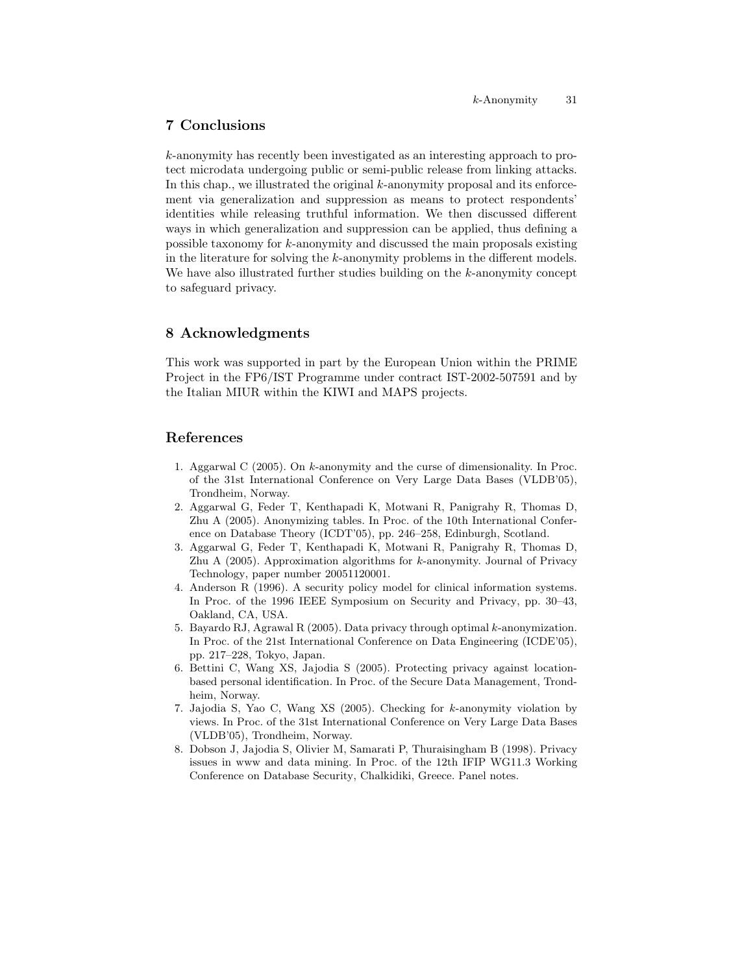## 7 Conclusions

k-anonymity has recently been investigated as an interesting approach to protect microdata undergoing public or semi-public release from linking attacks. In this chap., we illustrated the original  $k$ -anonymity proposal and its enforcement via generalization and suppression as means to protect respondents' identities while releasing truthful information. We then discussed different ways in which generalization and suppression can be applied, thus defining a possible taxonomy for k-anonymity and discussed the main proposals existing in the literature for solving the k-anonymity problems in the different models. We have also illustrated further studies building on the  $k$ -anonymity concept to safeguard privacy.

## 8 Acknowledgments

This work was supported in part by the European Union within the PRIME Project in the FP6/IST Programme under contract IST-2002-507591 and by the Italian MIUR within the KIWI and MAPS projects.

### References

- 1. Aggarwal C (2005). On k-anonymity and the curse of dimensionality. In Proc. of the 31st International Conference on Very Large Data Bases (VLDB'05), Trondheim, Norway.
- 2. Aggarwal G, Feder T, Kenthapadi K, Motwani R, Panigrahy R, Thomas D, Zhu A (2005). Anonymizing tables. In Proc. of the 10th International Conference on Database Theory (ICDT'05), pp. 246–258, Edinburgh, Scotland.
- 3. Aggarwal G, Feder T, Kenthapadi K, Motwani R, Panigrahy R, Thomas D, Zhu A (2005). Approximation algorithms for k-anonymity. Journal of Privacy Technology, paper number 20051120001.
- 4. Anderson R (1996). A security policy model for clinical information systems. In Proc. of the 1996 IEEE Symposium on Security and Privacy, pp. 30–43, Oakland, CA, USA.
- 5. Bayardo RJ, Agrawal R (2005). Data privacy through optimal k-anonymization. In Proc. of the 21st International Conference on Data Engineering (ICDE'05), pp. 217–228, Tokyo, Japan.
- 6. Bettini C, Wang XS, Jajodia S (2005). Protecting privacy against locationbased personal identification. In Proc. of the Secure Data Management, Trondheim, Norway.
- 7. Jajodia S, Yao C, Wang XS (2005). Checking for k-anonymity violation by views. In Proc. of the 31st International Conference on Very Large Data Bases (VLDB'05), Trondheim, Norway.
- 8. Dobson J, Jajodia S, Olivier M, Samarati P, Thuraisingham B (1998). Privacy issues in www and data mining. In Proc. of the 12th IFIP WG11.3 Working Conference on Database Security, Chalkidiki, Greece. Panel notes.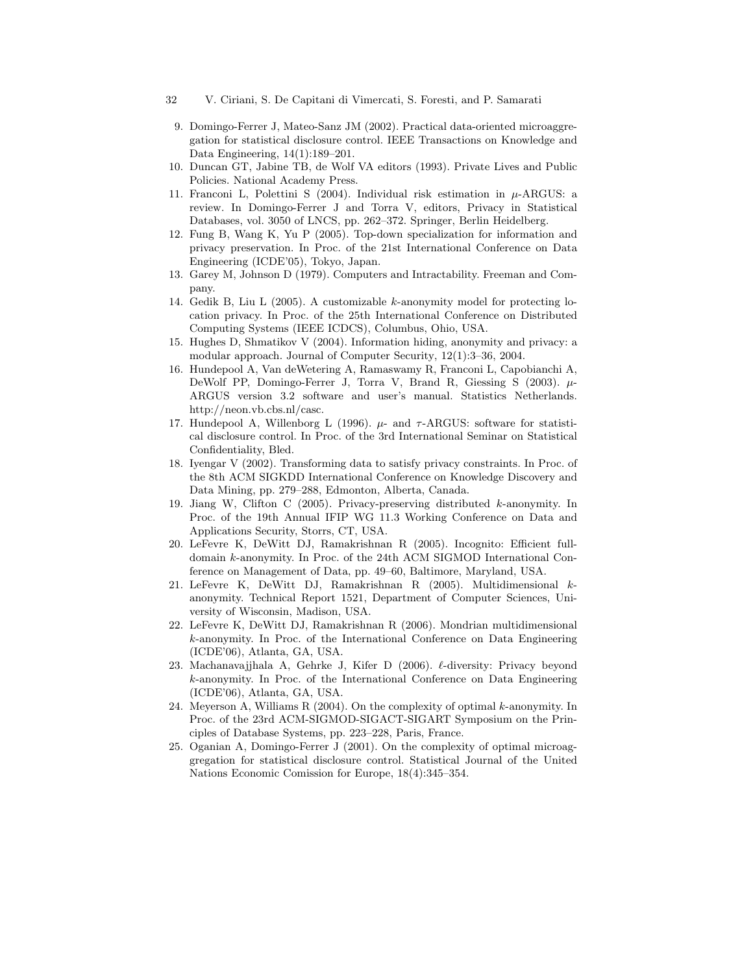- 32 V. Ciriani, S. De Capitani di Vimercati, S. Foresti, and P. Samarati
	- 9. Domingo-Ferrer J, Mateo-Sanz JM (2002). Practical data-oriented microaggregation for statistical disclosure control. IEEE Transactions on Knowledge and Data Engineering, 14(1):189–201.
- 10. Duncan GT, Jabine TB, de Wolf VA editors (1993). Private Lives and Public Policies. National Academy Press.
- 11. Franconi L, Polettini S (2004). Individual risk estimation in  $\mu$ -ARGUS: a review. In Domingo-Ferrer J and Torra V, editors, Privacy in Statistical Databases, vol. 3050 of LNCS, pp. 262–372. Springer, Berlin Heidelberg.
- 12. Fung B, Wang K, Yu P (2005). Top-down specialization for information and privacy preservation. In Proc. of the 21st International Conference on Data Engineering (ICDE'05), Tokyo, Japan.
- 13. Garey M, Johnson D (1979). Computers and Intractability. Freeman and Company.
- 14. Gedik B, Liu L (2005). A customizable k-anonymity model for protecting location privacy. In Proc. of the 25th International Conference on Distributed Computing Systems (IEEE ICDCS), Columbus, Ohio, USA.
- 15. Hughes D, Shmatikov V (2004). Information hiding, anonymity and privacy: a modular approach. Journal of Computer Security, 12(1):3–36, 2004.
- 16. Hundepool A, Van deWetering A, Ramaswamy R, Franconi L, Capobianchi A, DeWolf PP, Domingo-Ferrer J, Torra V, Brand R, Giessing S (2003).  $\mu$ -ARGUS version 3.2 software and user's manual. Statistics Netherlands. http://neon.vb.cbs.nl/casc.
- 17. Hundepool A, Willenborg L (1996).  $\mu$  and τ-ARGUS: software for statistical disclosure control. In Proc. of the 3rd International Seminar on Statistical Confidentiality, Bled.
- 18. Iyengar V (2002). Transforming data to satisfy privacy constraints. In Proc. of the 8th ACM SIGKDD International Conference on Knowledge Discovery and Data Mining, pp. 279–288, Edmonton, Alberta, Canada.
- 19. Jiang W, Clifton C (2005). Privacy-preserving distributed k-anonymity. In Proc. of the 19th Annual IFIP WG 11.3 Working Conference on Data and Applications Security, Storrs, CT, USA.
- 20. LeFevre K, DeWitt DJ, Ramakrishnan R (2005). Incognito: Efficient fulldomain k-anonymity. In Proc. of the 24th ACM SIGMOD International Conference on Management of Data, pp. 49–60, Baltimore, Maryland, USA.
- 21. LeFevre K, DeWitt DJ, Ramakrishnan R (2005). Multidimensional kanonymity. Technical Report 1521, Department of Computer Sciences, University of Wisconsin, Madison, USA.
- 22. LeFevre K, DeWitt DJ, Ramakrishnan R (2006). Mondrian multidimensional k-anonymity. In Proc. of the International Conference on Data Engineering (ICDE'06), Atlanta, GA, USA.
- 23. Machanavajjhala A, Gehrke J, Kifer D  $(2006)$ .  $\ell$ -diversity: Privacy beyond k-anonymity. In Proc. of the International Conference on Data Engineering (ICDE'06), Atlanta, GA, USA.
- 24. Meyerson A, Williams R (2004). On the complexity of optimal k-anonymity. In Proc. of the 23rd ACM-SIGMOD-SIGACT-SIGART Symposium on the Principles of Database Systems, pp. 223–228, Paris, France.
- 25. Oganian A, Domingo-Ferrer J (2001). On the complexity of optimal microaggregation for statistical disclosure control. Statistical Journal of the United Nations Economic Comission for Europe, 18(4):345–354.